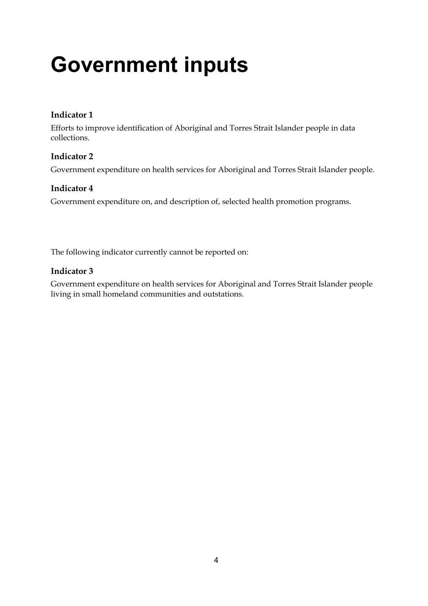# **Government inputs**

# **Indicator 1**

Efforts to improve identification of Aboriginal and Torres Strait Islander people in data collections.

# **Indicator 2**

Government expenditure on health services for Aboriginal and Torres Strait Islander people.

# **Indicator 4**

Government expenditure on, and description of, selected health promotion programs.

The following indicator currently cannot be reported on:

# **Indicator 3**

Government expenditure on health services for Aboriginal and Torres Strait Islander people living in small homeland communities and outstations.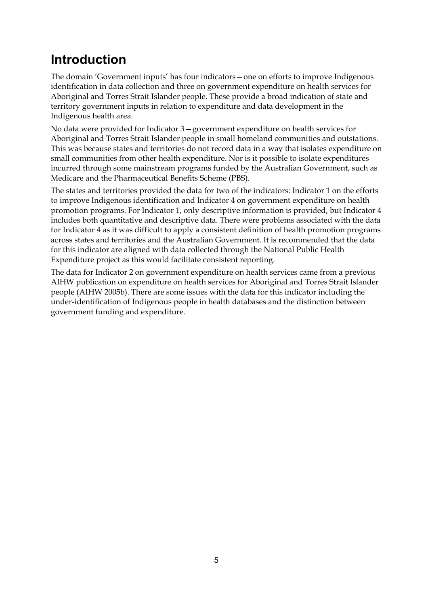# **Introduction**

The domain 'Government inputs' has four indicators—one on efforts to improve Indigenous identification in data collection and three on government expenditure on health services for Aboriginal and Torres Strait Islander people. These provide a broad indication of state and territory government inputs in relation to expenditure and data development in the Indigenous health area.

No data were provided for Indicator 3—government expenditure on health services for Aboriginal and Torres Strait Islander people in small homeland communities and outstations. This was because states and territories do not record data in a way that isolates expenditure on small communities from other health expenditure. Nor is it possible to isolate expenditures incurred through some mainstream programs funded by the Australian Government, such as Medicare and the Pharmaceutical Benefits Scheme (PBS).

The states and territories provided the data for two of the indicators: Indicator 1 on the efforts to improve Indigenous identification and Indicator 4 on government expenditure on health promotion programs. For Indicator 1, only descriptive information is provided, but Indicator 4 includes both quantitative and descriptive data. There were problems associated with the data for Indicator 4 as it was difficult to apply a consistent definition of health promotion programs across states and territories and the Australian Government. It is recommended that the data for this indicator are aligned with data collected through the National Public Health Expenditure project as this would facilitate consistent reporting.

The data for Indicator 2 on government expenditure on health services came from a previous AIHW publication on expenditure on health services for Aboriginal and Torres Strait Islander people (AIHW 2005b). There are some issues with the data for this indicator including the under-identification of Indigenous people in health databases and the distinction between government funding and expenditure.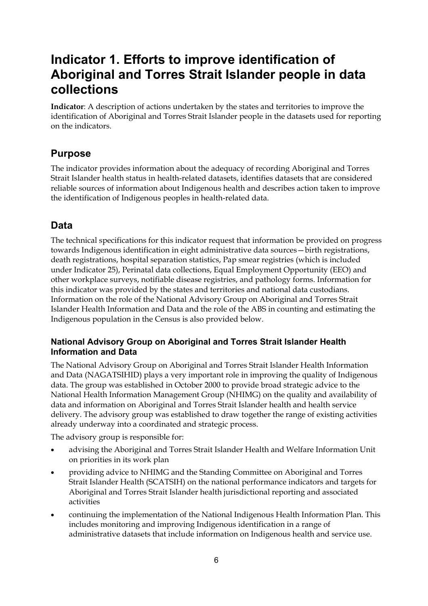# **Indicator 1. Efforts to improve identification of Aboriginal and Torres Strait Islander people in data collections**

**Indicator**: A description of actions undertaken by the states and territories to improve the identification of Aboriginal and Torres Strait Islander people in the datasets used for reporting on the indicators.

# **Purpose**

The indicator provides information about the adequacy of recording Aboriginal and Torres Strait Islander health status in health-related datasets, identifies datasets that are considered reliable sources of information about Indigenous health and describes action taken to improve the identification of Indigenous peoples in health-related data.

# **Data**

The technical specifications for this indicator request that information be provided on progress towards Indigenous identification in eight administrative data sources—birth registrations, death registrations, hospital separation statistics, Pap smear registries (which is included under Indicator 25), Perinatal data collections, Equal Employment Opportunity (EEO) and other workplace surveys, notifiable disease registries, and pathology forms. Information for this indicator was provided by the states and territories and national data custodians. Information on the role of the National Advisory Group on Aboriginal and Torres Strait Islander Health Information and Data and the role of the ABS in counting and estimating the Indigenous population in the Census is also provided below.

# **National Advisory Group on Aboriginal and Torres Strait Islander Health Information and Data**

The National Advisory Group on Aboriginal and Torres Strait Islander Health Information and Data (NAGATSIHID) plays a very important role in improving the quality of Indigenous data. The group was established in October 2000 to provide broad strategic advice to the National Health Information Management Group (NHIMG) on the quality and availability of data and information on Aboriginal and Torres Strait Islander health and health service delivery. The advisory group was established to draw together the range of existing activities already underway into a coordinated and strategic process.

The advisory group is responsible for:

- advising the Aboriginal and Torres Strait Islander Health and Welfare Information Unit on priorities in its work plan
- providing advice to NHIMG and the Standing Committee on Aboriginal and Torres Strait Islander Health (SCATSIH) on the national performance indicators and targets for Aboriginal and Torres Strait Islander health jurisdictional reporting and associated activities
- continuing the implementation of the National Indigenous Health Information Plan. This includes monitoring and improving Indigenous identification in a range of administrative datasets that include information on Indigenous health and service use.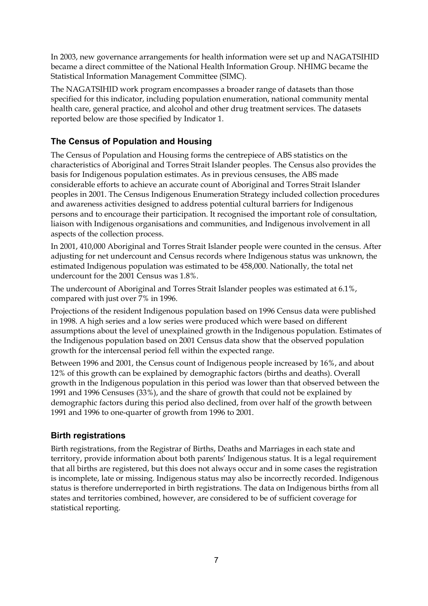In 2003, new governance arrangements for health information were set up and NAGATSIHID became a direct committee of the National Health Information Group. NHIMG became the Statistical Information Management Committee (SIMC).

The NAGATSIHID work program encompasses a broader range of datasets than those specified for this indicator, including population enumeration, national community mental health care, general practice, and alcohol and other drug treatment services. The datasets reported below are those specified by Indicator 1.

# **The Census of Population and Housing**

The Census of Population and Housing forms the centrepiece of ABS statistics on the characteristics of Aboriginal and Torres Strait Islander peoples. The Census also provides the basis for Indigenous population estimates. As in previous censuses, the ABS made considerable efforts to achieve an accurate count of Aboriginal and Torres Strait Islander peoples in 2001. The Census Indigenous Enumeration Strategy included collection procedures and awareness activities designed to address potential cultural barriers for Indigenous persons and to encourage their participation. It recognised the important role of consultation, liaison with Indigenous organisations and communities, and Indigenous involvement in all aspects of the collection process.

In 2001, 410,000 Aboriginal and Torres Strait Islander people were counted in the census. After adjusting for net undercount and Census records where Indigenous status was unknown, the estimated Indigenous population was estimated to be 458,000. Nationally, the total net undercount for the 2001 Census was 1.8%.

The undercount of Aboriginal and Torres Strait Islander peoples was estimated at 6.1%, compared with just over 7% in 1996.

Projections of the resident Indigenous population based on 1996 Census data were published in 1998. A high series and a low series were produced which were based on different assumptions about the level of unexplained growth in the Indigenous population. Estimates of the Indigenous population based on 2001 Census data show that the observed population growth for the intercensal period fell within the expected range.

Between 1996 and 2001, the Census count of Indigenous people increased by 16%, and about 12% of this growth can be explained by demographic factors (births and deaths). Overall growth in the Indigenous population in this period was lower than that observed between the 1991 and 1996 Censuses (33%), and the share of growth that could not be explained by demographic factors during this period also declined, from over half of the growth between 1991 and 1996 to one-quarter of growth from 1996 to 2001.

# **Birth registrations**

Birth registrations, from the Registrar of Births, Deaths and Marriages in each state and territory, provide information about both parents' Indigenous status. It is a legal requirement that all births are registered, but this does not always occur and in some cases the registration is incomplete, late or missing. Indigenous status may also be incorrectly recorded. Indigenous status is therefore underreported in birth registrations. The data on Indigenous births from all states and territories combined, however, are considered to be of sufficient coverage for statistical reporting.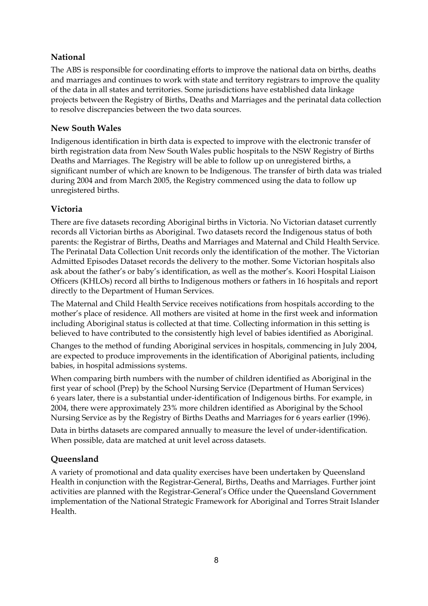# **National**

The ABS is responsible for coordinating efforts to improve the national data on births, deaths and marriages and continues to work with state and territory registrars to improve the quality of the data in all states and territories. Some jurisdictions have established data linkage projects between the Registry of Births, Deaths and Marriages and the perinatal data collection to resolve discrepancies between the two data sources.

# **New South Wales**

Indigenous identification in birth data is expected to improve with the electronic transfer of birth registration data from New South Wales public hospitals to the NSW Registry of Births Deaths and Marriages. The Registry will be able to follow up on unregistered births, a significant number of which are known to be Indigenous. The transfer of birth data was trialed during 2004 and from March 2005, the Registry commenced using the data to follow up unregistered births.

# **Victoria**

There are five datasets recording Aboriginal births in Victoria. No Victorian dataset currently records all Victorian births as Aboriginal. Two datasets record the Indigenous status of both parents: the Registrar of Births, Deaths and Marriages and Maternal and Child Health Service. The Perinatal Data Collection Unit records only the identification of the mother. The Victorian Admitted Episodes Dataset records the delivery to the mother. Some Victorian hospitals also ask about the father's or baby's identification, as well as the mother's. Koori Hospital Liaison Officers (KHLOs) record all births to Indigenous mothers or fathers in 16 hospitals and report directly to the Department of Human Services.

The Maternal and Child Health Service receives notifications from hospitals according to the mother's place of residence. All mothers are visited at home in the first week and information including Aboriginal status is collected at that time. Collecting information in this setting is believed to have contributed to the consistently high level of babies identified as Aboriginal.

Changes to the method of funding Aboriginal services in hospitals, commencing in July 2004, are expected to produce improvements in the identification of Aboriginal patients, including babies, in hospital admissions systems.

When comparing birth numbers with the number of children identified as Aboriginal in the first year of school (Prep) by the School Nursing Service (Department of Human Services) 6 years later, there is a substantial under-identification of Indigenous births. For example, in 2004, there were approximately 23% more children identified as Aboriginal by the School Nursing Service as by the Registry of Births Deaths and Marriages for 6 years earlier (1996).

Data in births datasets are compared annually to measure the level of under-identification. When possible, data are matched at unit level across datasets.

# **Queensland**

A variety of promotional and data quality exercises have been undertaken by Queensland Health in conjunction with the Registrar-General, Births, Deaths and Marriages. Further joint activities are planned with the Registrar-General's Office under the Queensland Government implementation of the National Strategic Framework for Aboriginal and Torres Strait Islander Health.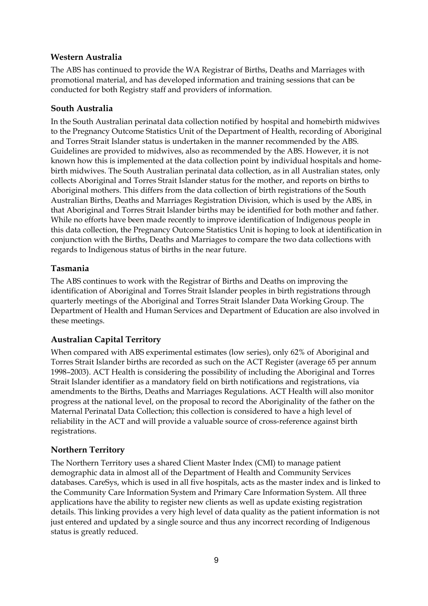# **Western Australia**

The ABS has continued to provide the WA Registrar of Births, Deaths and Marriages with promotional material, and has developed information and training sessions that can be conducted for both Registry staff and providers of information.

# **South Australia**

In the South Australian perinatal data collection notified by hospital and homebirth midwives to the Pregnancy Outcome Statistics Unit of the Department of Health, recording of Aboriginal and Torres Strait Islander status is undertaken in the manner recommended by the ABS. Guidelines are provided to midwives, also as recommended by the ABS. However, it is not known how this is implemented at the data collection point by individual hospitals and homebirth midwives. The South Australian perinatal data collection, as in all Australian states, only collects Aboriginal and Torres Strait Islander status for the mother, and reports on births to Aboriginal mothers. This differs from the data collection of birth registrations of the South Australian Births, Deaths and Marriages Registration Division, which is used by the ABS, in that Aboriginal and Torres Strait Islander births may be identified for both mother and father. While no efforts have been made recently to improve identification of Indigenous people in this data collection, the Pregnancy Outcome Statistics Unit is hoping to look at identification in conjunction with the Births, Deaths and Marriages to compare the two data collections with regards to Indigenous status of births in the near future.

# **Tasmania**

The ABS continues to work with the Registrar of Births and Deaths on improving the identification of Aboriginal and Torres Strait Islander peoples in birth registrations through quarterly meetings of the Aboriginal and Torres Strait Islander Data Working Group. The Department of Health and Human Services and Department of Education are also involved in these meetings.

# **Australian Capital Territory**

When compared with ABS experimental estimates (low series), only 62% of Aboriginal and Torres Strait Islander births are recorded as such on the ACT Register (average 65 per annum 1998–2003). ACT Health is considering the possibility of including the Aboriginal and Torres Strait Islander identifier as a mandatory field on birth notifications and registrations, via amendments to the Births, Deaths and Marriages Regulations. ACT Health will also monitor progress at the national level, on the proposal to record the Aboriginality of the father on the Maternal Perinatal Data Collection; this collection is considered to have a high level of reliability in the ACT and will provide a valuable source of cross-reference against birth registrations.

# **Northern Territory**

The Northern Territory uses a shared Client Master Index (CMI) to manage patient demographic data in almost all of the Department of Health and Community Services databases. CareSys, which is used in all five hospitals, acts as the master index and is linked to the Community Care Information System and Primary Care Information System. All three applications have the ability to register new clients as well as update existing registration details. This linking provides a very high level of data quality as the patient information is not just entered and updated by a single source and thus any incorrect recording of Indigenous status is greatly reduced.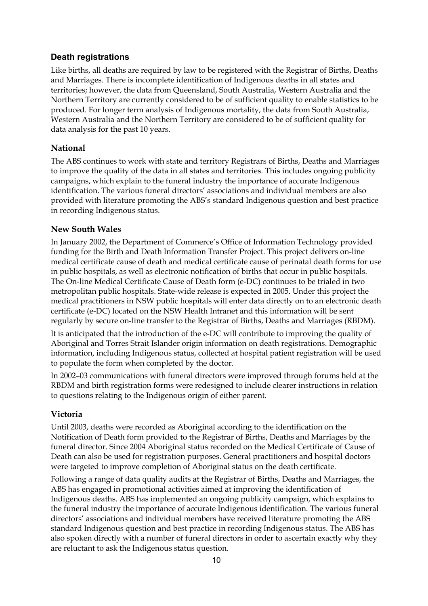# **Death registrations**

Like births, all deaths are required by law to be registered with the Registrar of Births, Deaths and Marriages. There is incomplete identification of Indigenous deaths in all states and territories; however, the data from Queensland, South Australia, Western Australia and the Northern Territory are currently considered to be of sufficient quality to enable statistics to be produced. For longer term analysis of Indigenous mortality, the data from South Australia, Western Australia and the Northern Territory are considered to be of sufficient quality for data analysis for the past 10 years.

# **National**

The ABS continues to work with state and territory Registrars of Births, Deaths and Marriages to improve the quality of the data in all states and territories. This includes ongoing publicity campaigns, which explain to the funeral industry the importance of accurate Indigenous identification. The various funeral directors' associations and individual members are also provided with literature promoting the ABS's standard Indigenous question and best practice in recording Indigenous status.

# **New South Wales**

In January 2002, the Department of Commerce's Office of Information Technology provided funding for the Birth and Death Information Transfer Project. This project delivers on-line medical certificate cause of death and medical certificate cause of perinatal death forms for use in public hospitals, as well as electronic notification of births that occur in public hospitals. The On-line Medical Certificate Cause of Death form (e-DC) continues to be trialed in two metropolitan public hospitals. State-wide release is expected in 2005. Under this project the medical practitioners in NSW public hospitals will enter data directly on to an electronic death certificate (e-DC) located on the NSW Health Intranet and this information will be sent regularly by secure on-line transfer to the Registrar of Births, Deaths and Marriages (RBDM).

It is anticipated that the introduction of the e-DC will contribute to improving the quality of Aboriginal and Torres Strait Islander origin information on death registrations. Demographic information, including Indigenous status, collected at hospital patient registration will be used to populate the form when completed by the doctor.

In 2002–03 communications with funeral directors were improved through forums held at the RBDM and birth registration forms were redesigned to include clearer instructions in relation to questions relating to the Indigenous origin of either parent.

# **Victoria**

Until 2003, deaths were recorded as Aboriginal according to the identification on the Notification of Death form provided to the Registrar of Births, Deaths and Marriages by the funeral director. Since 2004 Aboriginal status recorded on the Medical Certificate of Cause of Death can also be used for registration purposes. General practitioners and hospital doctors were targeted to improve completion of Aboriginal status on the death certificate.

Following a range of data quality audits at the Registrar of Births, Deaths and Marriages, the ABS has engaged in promotional activities aimed at improving the identification of Indigenous deaths. ABS has implemented an ongoing publicity campaign, which explains to the funeral industry the importance of accurate Indigenous identification. The various funeral directors' associations and individual members have received literature promoting the ABS standard Indigenous question and best practice in recording Indigenous status. The ABS has also spoken directly with a number of funeral directors in order to ascertain exactly why they are reluctant to ask the Indigenous status question.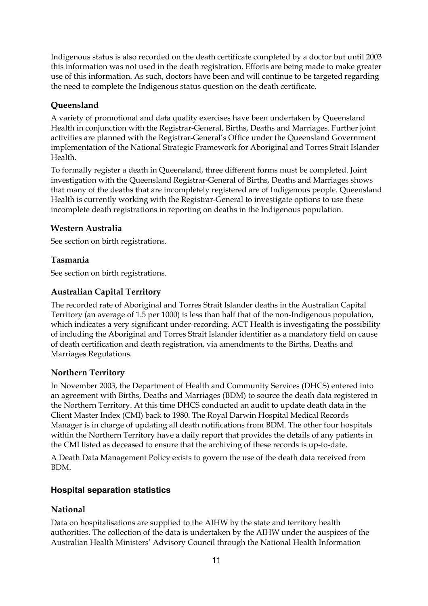Indigenous status is also recorded on the death certificate completed by a doctor but until 2003 this information was not used in the death registration. Efforts are being made to make greater use of this information. As such, doctors have been and will continue to be targeted regarding the need to complete the Indigenous status question on the death certificate.

# **Queensland**

A variety of promotional and data quality exercises have been undertaken by Queensland Health in conjunction with the Registrar-General, Births, Deaths and Marriages. Further joint activities are planned with the Registrar-General's Office under the Queensland Government implementation of the National Strategic Framework for Aboriginal and Torres Strait Islander Health.

To formally register a death in Queensland, three different forms must be completed. Joint investigation with the Queensland Registrar-General of Births, Deaths and Marriages shows that many of the deaths that are incompletely registered are of Indigenous people. Queensland Health is currently working with the Registrar-General to investigate options to use these incomplete death registrations in reporting on deaths in the Indigenous population.

# **Western Australia**

See section on birth registrations.

# **Tasmania**

See section on birth registrations.

# **Australian Capital Territory**

The recorded rate of Aboriginal and Torres Strait Islander deaths in the Australian Capital Territory (an average of 1.5 per 1000) is less than half that of the non-Indigenous population, which indicates a very significant under-recording. ACT Health is investigating the possibility of including the Aboriginal and Torres Strait Islander identifier as a mandatory field on cause of death certification and death registration, via amendments to the Births, Deaths and Marriages Regulations.

# **Northern Territory**

In November 2003, the Department of Health and Community Services (DHCS) entered into an agreement with Births, Deaths and Marriages (BDM) to source the death data registered in the Northern Territory. At this time DHCS conducted an audit to update death data in the Client Master Index (CMI) back to 1980. The Royal Darwin Hospital Medical Records Manager is in charge of updating all death notifications from BDM. The other four hospitals within the Northern Territory have a daily report that provides the details of any patients in the CMI listed as deceased to ensure that the archiving of these records is up-to-date.

A Death Data Management Policy exists to govern the use of the death data received from BDM.

# **Hospital separation statistics**

# **National**

Data on hospitalisations are supplied to the AIHW by the state and territory health authorities. The collection of the data is undertaken by the AIHW under the auspices of the Australian Health Ministers' Advisory Council through the National Health Information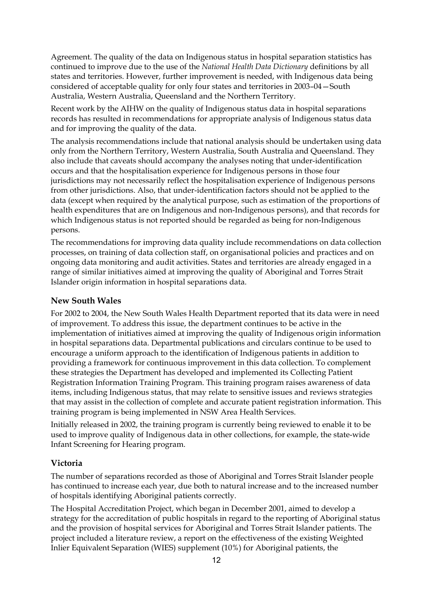Agreement. The quality of the data on Indigenous status in hospital separation statistics has continued to improve due to the use of the *National Health Data Dictionary* definitions by all states and territories. However, further improvement is needed, with Indigenous data being considered of acceptable quality for only four states and territories in 2003–04—South Australia, Western Australia, Queensland and the Northern Territory.

Recent work by the AIHW on the quality of Indigenous status data in hospital separations records has resulted in recommendations for appropriate analysis of Indigenous status data and for improving the quality of the data.

The analysis recommendations include that national analysis should be undertaken using data only from the Northern Territory, Western Australia, South Australia and Queensland. They also include that caveats should accompany the analyses noting that under-identification occurs and that the hospitalisation experience for Indigenous persons in those four jurisdictions may not necessarily reflect the hospitalisation experience of Indigenous persons from other jurisdictions. Also, that under-identification factors should not be applied to the data (except when required by the analytical purpose, such as estimation of the proportions of health expenditures that are on Indigenous and non-Indigenous persons), and that records for which Indigenous status is not reported should be regarded as being for non-Indigenous persons.

The recommendations for improving data quality include recommendations on data collection processes, on training of data collection staff, on organisational policies and practices and on ongoing data monitoring and audit activities. States and territories are already engaged in a range of similar initiatives aimed at improving the quality of Aboriginal and Torres Strait Islander origin information in hospital separations data.

#### **New South Wales**

For 2002 to 2004, the New South Wales Health Department reported that its data were in need of improvement. To address this issue, the department continues to be active in the implementation of initiatives aimed at improving the quality of Indigenous origin information in hospital separations data. Departmental publications and circulars continue to be used to encourage a uniform approach to the identification of Indigenous patients in addition to providing a framework for continuous improvement in this data collection. To complement these strategies the Department has developed and implemented its Collecting Patient Registration Information Training Program. This training program raises awareness of data items, including Indigenous status, that may relate to sensitive issues and reviews strategies that may assist in the collection of complete and accurate patient registration information. This training program is being implemented in NSW Area Health Services.

Initially released in 2002, the training program is currently being reviewed to enable it to be used to improve quality of Indigenous data in other collections, for example, the state-wide Infant Screening for Hearing program.

#### **Victoria**

The number of separations recorded as those of Aboriginal and Torres Strait Islander people has continued to increase each year, due both to natural increase and to the increased number of hospitals identifying Aboriginal patients correctly.

The Hospital Accreditation Project, which began in December 2001, aimed to develop a strategy for the accreditation of public hospitals in regard to the reporting of Aboriginal status and the provision of hospital services for Aboriginal and Torres Strait Islander patients. The project included a literature review, a report on the effectiveness of the existing Weighted Inlier Equivalent Separation (WIES) supplement (10%) for Aboriginal patients, the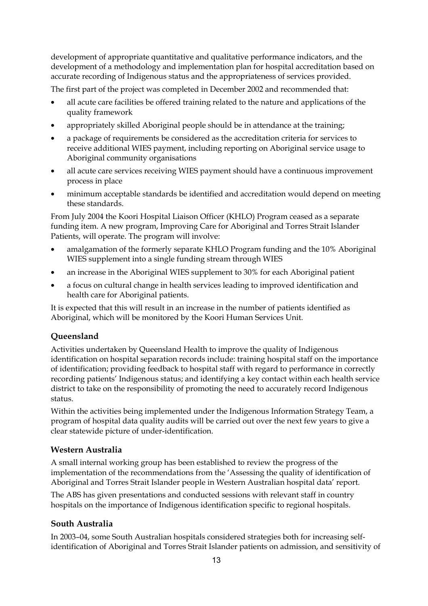development of appropriate quantitative and qualitative performance indicators, and the development of a methodology and implementation plan for hospital accreditation based on accurate recording of Indigenous status and the appropriateness of services provided.

The first part of the project was completed in December 2002 and recommended that:

- all acute care facilities be offered training related to the nature and applications of the quality framework
- appropriately skilled Aboriginal people should be in attendance at the training;
- a package of requirements be considered as the accreditation criteria for services to receive additional WIES payment, including reporting on Aboriginal service usage to Aboriginal community organisations
- all acute care services receiving WIES payment should have a continuous improvement process in place
- minimum acceptable standards be identified and accreditation would depend on meeting these standards.

From July 2004 the Koori Hospital Liaison Officer (KHLO) Program ceased as a separate funding item. A new program, Improving Care for Aboriginal and Torres Strait Islander Patients, will operate. The program will involve:

- amalgamation of the formerly separate KHLO Program funding and the 10% Aboriginal WIES supplement into a single funding stream through WIES
- an increase in the Aboriginal WIES supplement to 30% for each Aboriginal patient
- a focus on cultural change in health services leading to improved identification and health care for Aboriginal patients.

It is expected that this will result in an increase in the number of patients identified as Aboriginal, which will be monitored by the Koori Human Services Unit.

# **Queensland**

Activities undertaken by Queensland Health to improve the quality of Indigenous identification on hospital separation records include: training hospital staff on the importance of identification; providing feedback to hospital staff with regard to performance in correctly recording patients' Indigenous status; and identifying a key contact within each health service district to take on the responsibility of promoting the need to accurately record Indigenous status.

Within the activities being implemented under the Indigenous Information Strategy Team, a program of hospital data quality audits will be carried out over the next few years to give a clear statewide picture of under-identification.

# **Western Australia**

A small internal working group has been established to review the progress of the implementation of the recommendations from the 'Assessing the quality of identification of Aboriginal and Torres Strait Islander people in Western Australian hospital data' report.

The ABS has given presentations and conducted sessions with relevant staff in country hospitals on the importance of Indigenous identification specific to regional hospitals.

# **South Australia**

In 2003–04, some South Australian hospitals considered strategies both for increasing selfidentification of Aboriginal and Torres Strait Islander patients on admission, and sensitivity of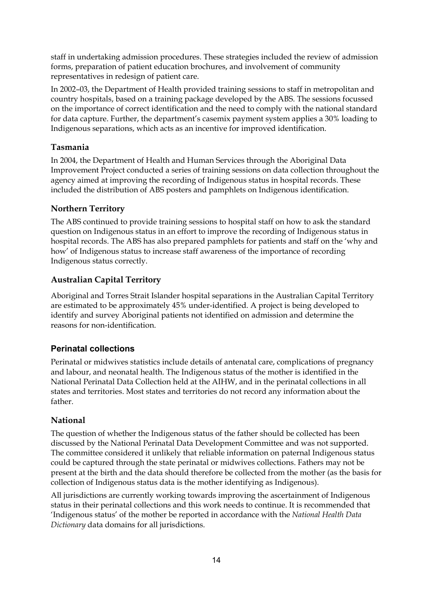staff in undertaking admission procedures. These strategies included the review of admission forms, preparation of patient education brochures, and involvement of community representatives in redesign of patient care.

In 2002–03, the Department of Health provided training sessions to staff in metropolitan and country hospitals, based on a training package developed by the ABS. The sessions focussed on the importance of correct identification and the need to comply with the national standard for data capture. Further, the department's casemix payment system applies a 30% loading to Indigenous separations, which acts as an incentive for improved identification.

# **Tasmania**

In 2004, the Department of Health and Human Services through the Aboriginal Data Improvement Project conducted a series of training sessions on data collection throughout the agency aimed at improving the recording of Indigenous status in hospital records. These included the distribution of ABS posters and pamphlets on Indigenous identification.

# **Northern Territory**

The ABS continued to provide training sessions to hospital staff on how to ask the standard question on Indigenous status in an effort to improve the recording of Indigenous status in hospital records. The ABS has also prepared pamphlets for patients and staff on the 'why and how' of Indigenous status to increase staff awareness of the importance of recording Indigenous status correctly.

# **Australian Capital Territory**

Aboriginal and Torres Strait Islander hospital separations in the Australian Capital Territory are estimated to be approximately 45% under-identified. A project is being developed to identify and survey Aboriginal patients not identified on admission and determine the reasons for non-identification.

# **Perinatal collections**

Perinatal or midwives statistics include details of antenatal care, complications of pregnancy and labour, and neonatal health. The Indigenous status of the mother is identified in the National Perinatal Data Collection held at the AIHW, and in the perinatal collections in all states and territories. Most states and territories do not record any information about the father.

# **National**

The question of whether the Indigenous status of the father should be collected has been discussed by the National Perinatal Data Development Committee and was not supported. The committee considered it unlikely that reliable information on paternal Indigenous status could be captured through the state perinatal or midwives collections. Fathers may not be present at the birth and the data should therefore be collected from the mother (as the basis for collection of Indigenous status data is the mother identifying as Indigenous).

All jurisdictions are currently working towards improving the ascertainment of Indigenous status in their perinatal collections and this work needs to continue. It is recommended that 'Indigenous status' of the mother be reported in accordance with the *National Health Data Dictionary* data domains for all jurisdictions.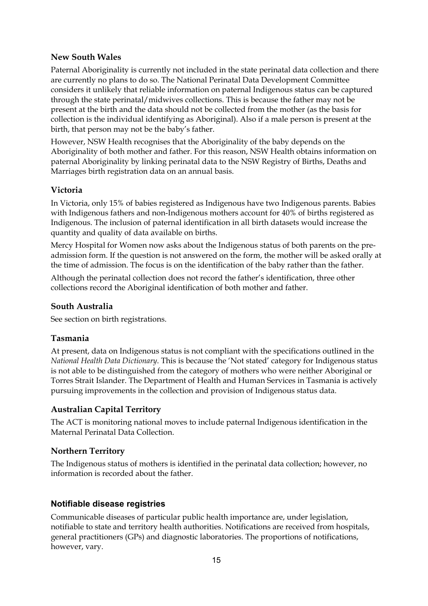# **New South Wales**

Paternal Aboriginality is currently not included in the state perinatal data collection and there are currently no plans to do so. The National Perinatal Data Development Committee considers it unlikely that reliable information on paternal Indigenous status can be captured through the state perinatal/midwives collections. This is because the father may not be present at the birth and the data should not be collected from the mother (as the basis for collection is the individual identifying as Aboriginal). Also if a male person is present at the birth, that person may not be the baby's father.

However, NSW Health recognises that the Aboriginality of the baby depends on the Aboriginality of both mother and father. For this reason, NSW Health obtains information on paternal Aboriginality by linking perinatal data to the NSW Registry of Births, Deaths and Marriages birth registration data on an annual basis.

# **Victoria**

In Victoria, only 15% of babies registered as Indigenous have two Indigenous parents. Babies with Indigenous fathers and non-Indigenous mothers account for 40% of births registered as Indigenous. The inclusion of paternal identification in all birth datasets would increase the quantity and quality of data available on births.

Mercy Hospital for Women now asks about the Indigenous status of both parents on the preadmission form. If the question is not answered on the form, the mother will be asked orally at the time of admission. The focus is on the identification of the baby rather than the father.

Although the perinatal collection does not record the father's identification, three other collections record the Aboriginal identification of both mother and father.

# **South Australia**

See section on birth registrations.

# **Tasmania**

At present, data on Indigenous status is not compliant with the specifications outlined in the *National Health Data Dictionary*. This is because the 'Not stated' category for Indigenous status is not able to be distinguished from the category of mothers who were neither Aboriginal or Torres Strait Islander. The Department of Health and Human Services in Tasmania is actively pursuing improvements in the collection and provision of Indigenous status data.

# **Australian Capital Territory**

The ACT is monitoring national moves to include paternal Indigenous identification in the Maternal Perinatal Data Collection.

# **Northern Territory**

The Indigenous status of mothers is identified in the perinatal data collection; however, no information is recorded about the father.

# **Notifiable disease registries**

Communicable diseases of particular public health importance are, under legislation, notifiable to state and territory health authorities. Notifications are received from hospitals, general practitioners (GPs) and diagnostic laboratories. The proportions of notifications, however, vary.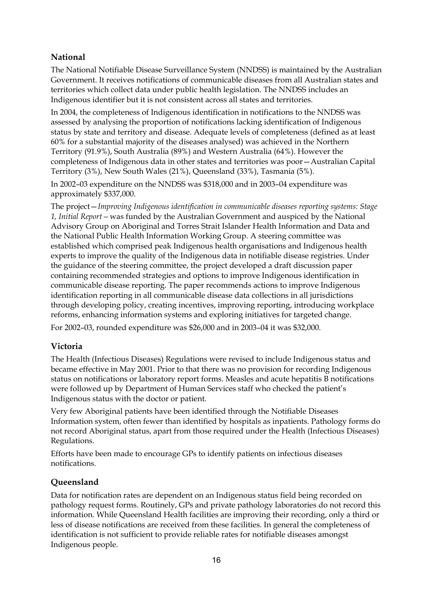# **National**

The National Notifiable Disease Surveillance System (NNDSS) is maintained by the Australian Government. It receives notifications of communicable diseases from all Australian states and territories which collect data under public health legislation. The NNDSS includes an Indigenous identifier but it is not consistent across all states and territories.

In 2004, the completeness of Indigenous identification in notifications to the NNDSS was assessed by analysing the proportion of notifications lacking identification of Indigenous status by state and territory and disease. Adequate levels of completeness (defined as at least 60% for a substantial majority of the diseases analysed) was achieved in the Northern Territory (91.9%), South Australia (89%) and Western Australia (64%). However the completeness of Indigenous data in other states and territories was poor—Australian Capital Territory (3%), New South Wales (21%), Queensland (33%), Tasmania (5%).

In 2002–03 expenditure on the NNDSS was \$318,000 and in 2003–04 expenditure was approximately \$337,000.

The project—*Improving Indigenous identification in communicable diseases reporting systems: Stage 1, Initial Report—*was funded by the Australian Government and auspiced by the National Advisory Group on Aboriginal and Torres Strait Islander Health Information and Data and the National Public Health Information Working Group. A steering committee was established which comprised peak Indigenous health organisations and Indigenous health experts to improve the quality of the Indigenous data in notifiable disease registries. Under the guidance of the steering committee, the project developed a draft discussion paper containing recommended strategies and options to improve Indigenous identification in communicable disease reporting. The paper recommends actions to improve Indigenous identification reporting in all communicable disease data collections in all jurisdictions through developing policy, creating incentives, improving reporting, introducing workplace reforms, enhancing information systems and exploring initiatives for targeted change.

For 2002–03, rounded expenditure was \$26,000 and in 2003–04 it was \$32,000.

# **Victoria**

The Health (Infectious Diseases) Regulations were revised to include Indigenous status and became effective in May 2001. Prior to that there was no provision for recording Indigenous status on notifications or laboratory report forms. Measles and acute hepatitis B notifications were followed up by Department of Human Services staff who checked the patient's Indigenous status with the doctor or patient.

Very few Aboriginal patients have been identified through the Notifiable Diseases Information system, often fewer than identified by hospitals as inpatients. Pathology forms do not record Aboriginal status, apart from those required under the Health (Infectious Diseases) Regulations.

Efforts have been made to encourage GPs to identify patients on infectious diseases notifications.

# **Queensland**

Data for notification rates are dependent on an Indigenous status field being recorded on pathology request forms. Routinely, GPs and private pathology laboratories do not record this information. While Queensland Health facilities are improving their recording, only a third or less of disease notifications are received from these facilities. In general the completeness of identification is not sufficient to provide reliable rates for notifiable diseases amongst Indigenous people.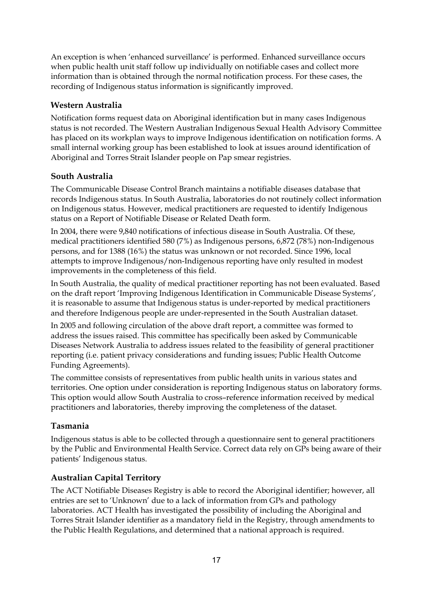An exception is when 'enhanced surveillance' is performed. Enhanced surveillance occurs when public health unit staff follow up individually on notifiable cases and collect more information than is obtained through the normal notification process. For these cases, the recording of Indigenous status information is significantly improved.

# **Western Australia**

Notification forms request data on Aboriginal identification but in many cases Indigenous status is not recorded. The Western Australian Indigenous Sexual Health Advisory Committee has placed on its workplan ways to improve Indigenous identification on notification forms. A small internal working group has been established to look at issues around identification of Aboriginal and Torres Strait Islander people on Pap smear registries.

# **South Australia**

The Communicable Disease Control Branch maintains a notifiable diseases database that records Indigenous status. In South Australia, laboratories do not routinely collect information on Indigenous status. However, medical practitioners are requested to identify Indigenous status on a Report of Notifiable Disease or Related Death form.

In 2004, there were 9,840 notifications of infectious disease in South Australia. Of these, medical practitioners identified 580 (7%) as Indigenous persons, 6,872 (78%) non-Indigenous persons, and for 1388 (16%) the status was unknown or not recorded. Since 1996, local attempts to improve Indigenous/non-Indigenous reporting have only resulted in modest improvements in the completeness of this field.

In South Australia, the quality of medical practitioner reporting has not been evaluated. Based on the draft report 'Improving Indigenous Identification in Communicable Disease Systems', it is reasonable to assume that Indigenous status is under-reported by medical practitioners and therefore Indigenous people are under-represented in the South Australian dataset.

In 2005 and following circulation of the above draft report, a committee was formed to address the issues raised. This committee has specifically been asked by Communicable Diseases Network Australia to address issues related to the feasibility of general practitioner reporting (i.e. patient privacy considerations and funding issues; Public Health Outcome Funding Agreements).

The committee consists of representatives from public health units in various states and territories. One option under consideration is reporting Indigenous status on laboratory forms. This option would allow South Australia to cross–reference information received by medical practitioners and laboratories, thereby improving the completeness of the dataset.

# **Tasmania**

Indigenous status is able to be collected through a questionnaire sent to general practitioners by the Public and Environmental Health Service. Correct data rely on GPs being aware of their patients' Indigenous status.

# **Australian Capital Territory**

The ACT Notifiable Diseases Registry is able to record the Aboriginal identifier; however, all entries are set to 'Unknown' due to a lack of information from GPs and pathology laboratories. ACT Health has investigated the possibility of including the Aboriginal and Torres Strait Islander identifier as a mandatory field in the Registry, through amendments to the Public Health Regulations, and determined that a national approach is required.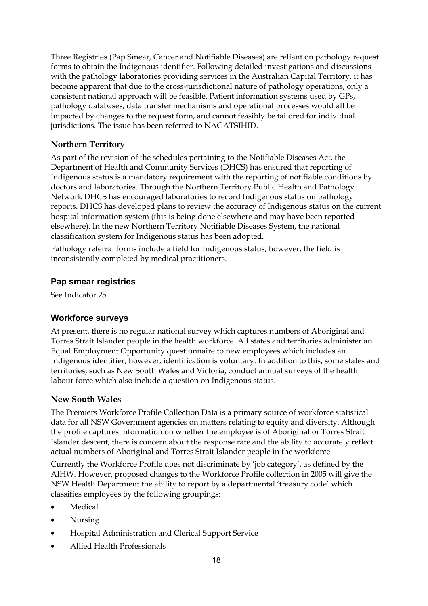Three Registries (Pap Smear, Cancer and Notifiable Diseases) are reliant on pathology request forms to obtain the Indigenous identifier. Following detailed investigations and discussions with the pathology laboratories providing services in the Australian Capital Territory, it has become apparent that due to the cross-jurisdictional nature of pathology operations, only a consistent national approach will be feasible. Patient information systems used by GPs, pathology databases, data transfer mechanisms and operational processes would all be impacted by changes to the request form, and cannot feasibly be tailored for individual jurisdictions. The issue has been referred to NAGATSIHID.

# **Northern Territory**

As part of the revision of the schedules pertaining to the Notifiable Diseases Act, the Department of Health and Community Services (DHCS) has ensured that reporting of Indigenous status is a mandatory requirement with the reporting of notifiable conditions by doctors and laboratories. Through the Northern Territory Public Health and Pathology Network DHCS has encouraged laboratories to record Indigenous status on pathology reports. DHCS has developed plans to review the accuracy of Indigenous status on the current hospital information system (this is being done elsewhere and may have been reported elsewhere). In the new Northern Territory Notifiable Diseases System, the national classification system for Indigenous status has been adopted.

Pathology referral forms include a field for Indigenous status; however, the field is inconsistently completed by medical practitioners.

# **Pap smear registries**

See Indicator 25.

# **Workforce surveys**

At present, there is no regular national survey which captures numbers of Aboriginal and Torres Strait Islander people in the health workforce. All states and territories administer an Equal Employment Opportunity questionnaire to new employees which includes an Indigenous identifier; however, identification is voluntary. In addition to this, some states and territories, such as New South Wales and Victoria, conduct annual surveys of the health labour force which also include a question on Indigenous status.

# **New South Wales**

The Premiers Workforce Profile Collection Data is a primary source of workforce statistical data for all NSW Government agencies on matters relating to equity and diversity. Although the profile captures information on whether the employee is of Aboriginal or Torres Strait Islander descent, there is concern about the response rate and the ability to accurately reflect actual numbers of Aboriginal and Torres Strait Islander people in the workforce.

Currently the Workforce Profile does not discriminate by 'job category', as defined by the AIHW. However, proposed changes to the Workforce Profile collection in 2005 will give the NSW Health Department the ability to report by a departmental 'treasury code' which classifies employees by the following groupings:

- **Medical**
- Nursing
- Hospital Administration and Clerical Support Service
- Allied Health Professionals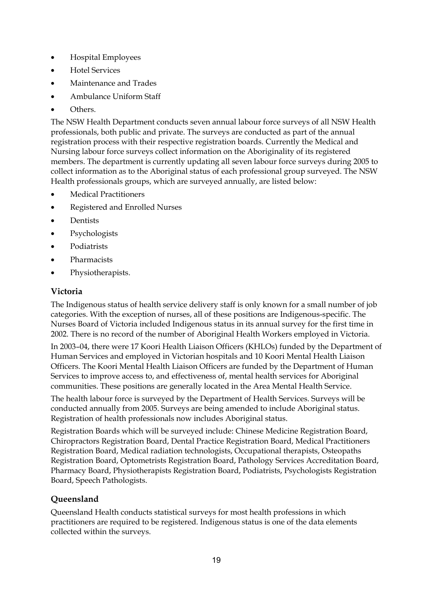- Hospital Employees
- Hotel Services
- Maintenance and Trades
- Ambulance Uniform Staff
- Others.

The NSW Health Department conducts seven annual labour force surveys of all NSW Health professionals, both public and private. The surveys are conducted as part of the annual registration process with their respective registration boards. Currently the Medical and Nursing labour force surveys collect information on the Aboriginality of its registered members. The department is currently updating all seven labour force surveys during 2005 to collect information as to the Aboriginal status of each professional group surveyed. The NSW Health professionals groups, which are surveyed annually, are listed below:

- Medical Practitioners
- Registered and Enrolled Nurses
- **Dentists**
- Psychologists
- Podiatrists
- Pharmacists
- Physiotherapists.

# **Victoria**

The Indigenous status of health service delivery staff is only known for a small number of job categories. With the exception of nurses, all of these positions are Indigenous-specific. The Nurses Board of Victoria included Indigenous status in its annual survey for the first time in 2002. There is no record of the number of Aboriginal Health Workers employed in Victoria.

In 2003–04, there were 17 Koori Health Liaison Officers (KHLOs) funded by the Department of Human Services and employed in Victorian hospitals and 10 Koori Mental Health Liaison Officers. The Koori Mental Health Liaison Officers are funded by the Department of Human Services to improve access to, and effectiveness of, mental health services for Aboriginal communities. These positions are generally located in the Area Mental Health Service.

The health labour force is surveyed by the Department of Health Services. Surveys will be conducted annually from 2005. Surveys are being amended to include Aboriginal status. Registration of health professionals now includes Aboriginal status.

Registration Boards which will be surveyed include: Chinese Medicine Registration Board, Chiropractors Registration Board, Dental Practice Registration Board, Medical Practitioners Registration Board, Medical radiation technologists, Occupational therapists, Osteopaths Registration Board, Optometrists Registration Board, Pathology Services Accreditation Board, Pharmacy Board, Physiotherapists Registration Board, Podiatrists, Psychologists Registration Board, Speech Pathologists.

# **Queensland**

Queensland Health conducts statistical surveys for most health professions in which practitioners are required to be registered. Indigenous status is one of the data elements collected within the surveys.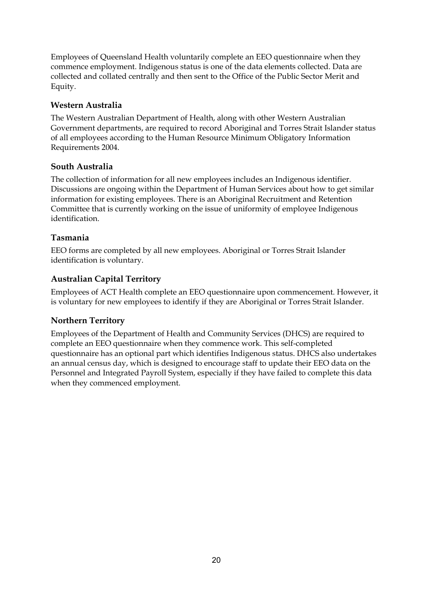Employees of Queensland Health voluntarily complete an EEO questionnaire when they commence employment. Indigenous status is one of the data elements collected. Data are collected and collated centrally and then sent to the Office of the Public Sector Merit and Equity.

# **Western Australia**

The Western Australian Department of Health, along with other Western Australian Government departments, are required to record Aboriginal and Torres Strait Islander status of all employees according to the Human Resource Minimum Obligatory Information Requirements 2004.

# **South Australia**

The collection of information for all new employees includes an Indigenous identifier. Discussions are ongoing within the Department of Human Services about how to get similar information for existing employees. There is an Aboriginal Recruitment and Retention Committee that is currently working on the issue of uniformity of employee Indigenous identification.

# **Tasmania**

EEO forms are completed by all new employees. Aboriginal or Torres Strait Islander identification is voluntary.

# **Australian Capital Territory**

Employees of ACT Health complete an EEO questionnaire upon commencement. However, it is voluntary for new employees to identify if they are Aboriginal or Torres Strait Islander.

# **Northern Territory**

Employees of the Department of Health and Community Services (DHCS) are required to complete an EEO questionnaire when they commence work. This self-completed questionnaire has an optional part which identifies Indigenous status. DHCS also undertakes an annual census day, which is designed to encourage staff to update their EEO data on the Personnel and Integrated Payroll System, especially if they have failed to complete this data when they commenced employment.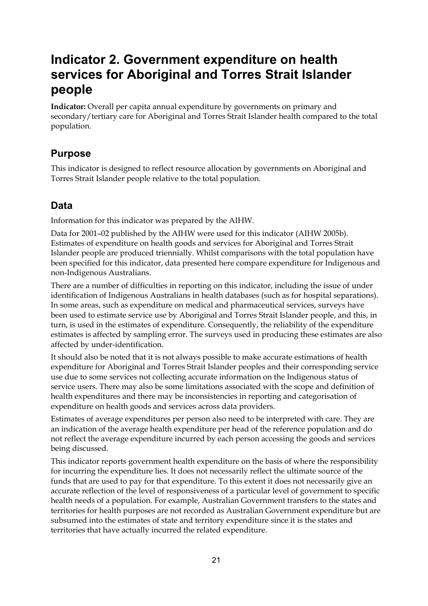# **Indicator 2. Government expenditure on health services for Aboriginal and Torres Strait Islander people**

**Indicator:** Overall per capita annual expenditure by governments on primary and secondary/tertiary care for Aboriginal and Torres Strait Islander health compared to the total population.

# **Purpose**

This indicator is designed to reflect resource allocation by governments on Aboriginal and Torres Strait Islander people relative to the total population.

# **Data**

Information for this indicator was prepared by the AIHW.

Data for 2001–02 published by the AIHW were used for this indicator (AIHW 2005b). Estimates of expenditure on health goods and services for Aboriginal and Torres Strait Islander people are produced triennially. Whilst comparisons with the total population have been specified for this indicator, data presented here compare expenditure for Indigenous and non-Indigenous Australians.

There are a number of difficulties in reporting on this indicator, including the issue of under identification of Indigenous Australians in health databases (such as for hospital separations). In some areas, such as expenditure on medical and pharmaceutical services, surveys have been used to estimate service use by Aboriginal and Torres Strait Islander people, and this, in turn, is used in the estimates of expenditure. Consequently, the reliability of the expenditure estimates is affected by sampling error. The surveys used in producing these estimates are also affected by under-identification.

It should also be noted that it is not always possible to make accurate estimations of health expenditure for Aboriginal and Torres Strait Islander peoples and their corresponding service use due to some services not collecting accurate information on the Indigenous status of service users. There may also be some limitations associated with the scope and definition of health expenditures and there may be inconsistencies in reporting and categorisation of expenditure on health goods and services across data providers.

Estimates of average expenditures per person also need to be interpreted with care. They are an indication of the average health expenditure per head of the reference population and do not reflect the average expenditure incurred by each person accessing the goods and services being discussed.

This indicator reports government health expenditure on the basis of where the responsibility for incurring the expenditure lies. It does not necessarily reflect the ultimate source of the funds that are used to pay for that expenditure. To this extent it does not necessarily give an accurate reflection of the level of responsiveness of a particular level of government to specific health needs of a population. For example, Australian Government transfers to the states and territories for health purposes are not recorded as Australian Government expenditure but are subsumed into the estimates of state and territory expenditure since it is the states and territories that have actually incurred the related expenditure.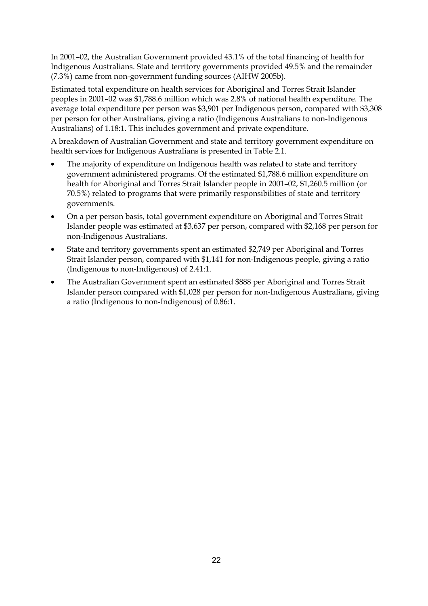In 2001–02, the Australian Government provided 43.1% of the total financing of health for Indigenous Australians. State and territory governments provided 49.5% and the remainder (7.3%) came from non-government funding sources (AIHW 2005b).

Estimated total expenditure on health services for Aboriginal and Torres Strait Islander peoples in 2001–02 was \$1,788.6 million which was 2.8% of national health expenditure. The average total expenditure per person was \$3,901 per Indigenous person, compared with \$3,308 per person for other Australians, giving a ratio (Indigenous Australians to non-Indigenous Australians) of 1.18:1. This includes government and private expenditure.

A breakdown of Australian Government and state and territory government expenditure on health services for Indigenous Australians is presented in Table 2.1.

- The majority of expenditure on Indigenous health was related to state and territory government administered programs. Of the estimated \$1,788.6 million expenditure on health for Aboriginal and Torres Strait Islander people in 2001–02, \$1,260.5 million (or 70.5%) related to programs that were primarily responsibilities of state and territory governments.
- On a per person basis, total government expenditure on Aboriginal and Torres Strait Islander people was estimated at \$3,637 per person, compared with \$2,168 per person for non-Indigenous Australians.
- State and territory governments spent an estimated \$2,749 per Aboriginal and Torres Strait Islander person, compared with \$1,141 for non-Indigenous people, giving a ratio (Indigenous to non-Indigenous) of 2.41:1.
- The Australian Government spent an estimated \$888 per Aboriginal and Torres Strait Islander person compared with \$1,028 per person for non-Indigenous Australians, giving a ratio (Indigenous to non-Indigenous) of 0.86:1.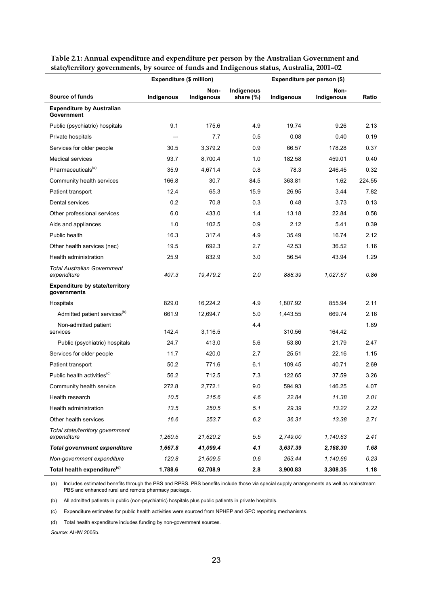| $\sin\phi$ ) contributions, by source of funds and margemens status, Australia, 2001–02. | Expenditure (\$ million) |                    |                         | Expenditure per person (\$) |                    |        |
|------------------------------------------------------------------------------------------|--------------------------|--------------------|-------------------------|-----------------------------|--------------------|--------|
| Source of funds                                                                          | Indigenous               | Non-<br>Indigenous | Indigenous<br>share (%) | Indigenous                  | Non-<br>Indigenous | Ratio  |
| <b>Expenditure by Australian</b><br>Government                                           |                          |                    |                         |                             |                    |        |
| Public (psychiatric) hospitals                                                           | 9.1                      | 175.6              | 4.9                     | 19.74                       | 9.26               | 2.13   |
| Private hospitals                                                                        |                          | 7.7                | 0.5                     | 0.08                        | 0.40               | 0.19   |
| Services for older people                                                                | 30.5                     | 3.379.2            | 0.9                     | 66.57                       | 178.28             | 0.37   |
| <b>Medical services</b>                                                                  | 93.7                     | 8,700.4            | 1.0                     | 182.58                      | 459.01             | 0.40   |
| Pharmaceuticals <sup>(a)</sup>                                                           | 35.9                     | 4,671.4            | 0.8                     | 78.3                        | 246.45             | 0.32   |
| Community health services                                                                | 166.8                    | 30.7               | 84.5                    | 363.81                      | 1.62               | 224.55 |
| Patient transport                                                                        | 12.4                     | 65.3               | 15.9                    | 26.95                       | 3.44               | 7.82   |
| Dental services                                                                          | 0.2                      | 70.8               | 0.3                     | 0.48                        | 3.73               | 0.13   |
| Other professional services                                                              | 6.0                      | 433.0              | 1.4                     | 13.18                       | 22.84              | 0.58   |
| Aids and appliances                                                                      | 1.0                      | 102.5              | 0.9                     | 2.12                        | 5.41               | 0.39   |
| Public health                                                                            | 16.3                     | 317.4              | 4.9                     | 35.49                       | 16.74              | 2.12   |
| Other health services (nec)                                                              | 19.5                     | 692.3              | 2.7                     | 42.53                       | 36.52              | 1.16   |
| Health administration                                                                    | 25.9                     | 832.9              | 3.0                     | 56.54                       | 43.94              | 1.29   |
| <b>Total Australian Government</b><br>expenditure                                        | 407.3                    | 19,479.2           | 2.0                     | 888.39                      | 1,027.67           | 0.86   |
| <b>Expenditure by state/territory</b><br>governments                                     |                          |                    |                         |                             |                    |        |
| Hospitals                                                                                | 829.0                    | 16,224.2           | 4.9                     | 1,807.92                    | 855.94             | 2.11   |
| Admitted patient services <sup>(b)</sup>                                                 | 661.9                    | 12,694.7           | 5.0                     | 1,443.55                    | 669.74             | 2.16   |
| Non-admitted patient<br>services                                                         | 142.4                    | 3,116.5            | 4.4                     | 310.56                      | 164.42             | 1.89   |
| Public (psychiatric) hospitals                                                           | 24.7                     | 413.0              | 5.6                     | 53.80                       | 21.79              | 2.47   |
| Services for older people                                                                | 11.7                     | 420.0              | 2.7                     | 25.51                       | 22.16              | 1.15   |
| Patient transport                                                                        | 50.2                     | 771.6              | 6.1                     | 109.45                      | 40.71              | 2.69   |
| Public health activities <sup>(c)</sup>                                                  | 56.2                     | 712.5              | 7.3                     | 122.65                      | 37.59              | 3.26   |
| Community health service                                                                 | 272.8                    | 2,772.1            | 9.0                     | 594.93                      | 146.25             | 4.07   |
| Health research                                                                          | 10.5                     | 215.6              | 4.6                     | 22.84                       | 11.38              | 2.01   |
| Health administration                                                                    | 13.5                     | 250.5              | 5.1                     | 29.39                       | 13.22              | 2.22   |
| Other health services                                                                    | 16.6                     | 253.7              | 6.2                     | 36.31                       | 13.38              | 2.71   |
| Total state/territory government<br>expenditure                                          | 1,260.5                  | 21,620.2           | 5.5                     | 2,749.00                    | 1,140.63           | 2.41   |
| <b>Total government expenditure</b>                                                      | 1,667.8                  | 41,099.4           | 4.1                     | 3,637.39                    | 2,168.30           | 1.68   |
| Non-government expenditure                                                               | 120.8                    | 21,609.5           | 0.6                     | 263.44                      | 1,140.66           | 0.23   |
| Total health expenditure <sup>(d)</sup>                                                  | 1,788.6                  | 62,708.9           | 2.8                     | 3,900.83                    | 3,308.35           | 1.18   |

**Table 2.1: Annual expenditure and expenditure per person by the Australian Government and state/territory governments, by source of funds and Indigenous status, Australia, 2001–02** 

(a) Includes estimated benefits through the PBS and RPBS. PBS benefits include those via special supply arrangements as well as mainstream PBS and enhanced rural and remote pharmacy package.

(b) All admitted patients in public (non-psychiatric) hospitals plus public patients in private hospitals.

(c) Expenditure estimates for public health activities were sourced from NPHEP and GPC reporting mechanisms.

(d) Total health expenditure includes funding by non-government sources.

*Source:* AIHW 2005b.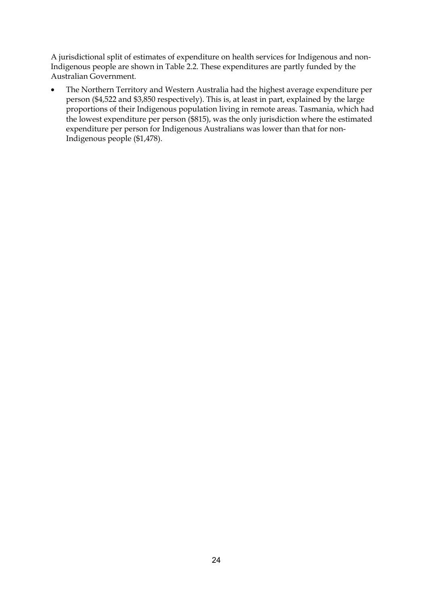A jurisdictional split of estimates of expenditure on health services for Indigenous and non-Indigenous people are shown in Table 2.2. These expenditures are partly funded by the Australian Government.

• The Northern Territory and Western Australia had the highest average expenditure per person (\$4,522 and \$3,850 respectively). This is, at least in part, explained by the large proportions of their Indigenous population living in remote areas. Tasmania, which had the lowest expenditure per person (\$815), was the only jurisdiction where the estimated expenditure per person for Indigenous Australians was lower than that for non-Indigenous people (\$1,478).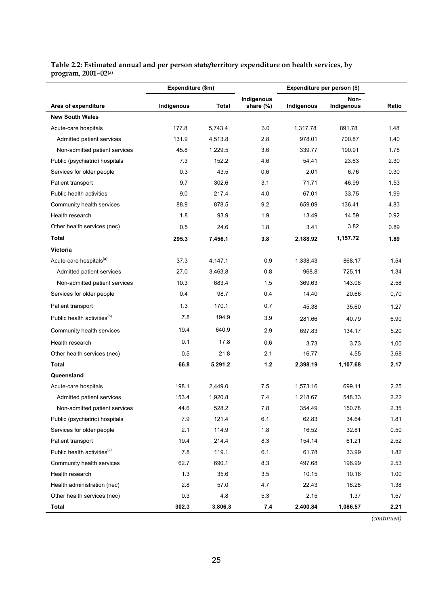#### **Table 2.2: Estimated annual and per person state/territory expenditure on health services, by program, 2001–02(a)**

|                                         | Expenditure (\$m)   |         |                         | Expenditure per person (\$) | Ratio    |                    |
|-----------------------------------------|---------------------|---------|-------------------------|-----------------------------|----------|--------------------|
| Area of expenditure                     | Indigenous<br>Total |         | Indigenous<br>share (%) | Indigenous                  |          | Non-<br>Indigenous |
| <b>New South Wales</b>                  |                     |         |                         |                             |          |                    |
| Acute-care hospitals                    | 177.8               | 5,743.4 | 3.0                     | 1.317.78                    | 891.78   | 1.48               |
| Admitted patient services               | 131.9               | 4,513.8 | 2.8                     | 978.01                      | 700.87   | 1.40               |
| Non-admitted patient services           | 45.8                | 1,229.5 | 3.6                     | 339.77                      | 190.91   | 1.78               |
| Public (psychiatric) hospitals          | 7.3                 | 152.2   | 4.6                     | 54.41                       | 23.63    | 2.30               |
| Services for older people               | 0.3                 | 43.5    | 0.6                     | 2.01                        | 6.76     | 0.30               |
| Patient transport                       | 9.7                 | 302.6   | 3.1                     | 71.71                       | 46.99    | 1.53               |
| Public health activities                | 9.0                 | 217.4   | 4.0                     | 67.01                       | 33.75    | 1.99               |
| Community health services               | 88.9                | 878.5   | 9.2                     | 659.09                      | 136.41   | 4.83               |
| Health research                         | 1.8                 | 93.9    | 1.9                     | 13.49                       | 14.59    | 0.92               |
| Other health services (nec)             | 0.5                 | 24.6    | 1.8                     | 3.41                        | 3.82     | 0.89               |
| <b>Total</b>                            | 295.3               | 7,456.1 | 3.8                     | 2,188.92                    | 1,157.72 | 1.89               |
| Victoria                                |                     |         |                         |                             |          |                    |
| Acute-care hospitals <sup>(a)</sup>     | 37.3                | 4,147.1 | 0.9                     | 1,338.43                    | 868.17   | 1.54               |
| Admitted patient services               | 27.0                | 3,463.8 | 0.8                     | 968.8                       | 725.11   | 1.34               |
| Non-admitted patient services           | 10.3                | 683.4   | 1.5                     | 369.63                      | 143.06   | 2.58               |
| Services for older people               | 0.4                 | 98.7    | 0.4                     | 14.40                       | 20.66    | 0,70               |
| Patient transport                       | 1.3                 | 170.1   | 0.7                     | 45.38                       | 35.60    | 1.27               |
| Public health activities <sup>(b)</sup> | 7.8                 | 194.9   | 3.9                     | 281.66                      | 40.79    | 6.90               |
| Community health services               | 19.4                | 640.9   | 2.9                     | 697.83                      | 134.17   | 5.20               |
| Health research                         | 0.1                 | 17.8    | 0.6                     | 3.73                        | 3.73     | 1,00               |
| Other health services (nec)             | 0.5                 | 21.8    | 2.1                     | 16.77                       | 4.55     | 3.68               |
| Total                                   | 66.8                | 5,291.2 | $1.2$                   | 2,398.19                    | 1,107.68 | 2.17               |
| Queensland                              |                     |         |                         |                             |          |                    |
| Acute-care hospitals                    | 198.1               | 2,449.0 | 7.5                     | 1,573.16                    | 699.11   | 2.25               |
| Admitted patient services               | 153.4               | 1,920.8 | 7.4                     | 1,218.67                    | 548.33   | 2.22               |
| Non-admitted patient services           | 44.6                | 528.2   | 7.8                     | 354.49                      | 150.78   | 2.35               |
| Public (psychiatric) hospitals          | 7.9                 | 121.4   | 6.1                     | 62.83                       | 34.64    | 1.81               |
| Services for older people               | 2.1                 | 114.9   | 1.8                     | 16.52                       | 32.81    | 0.50               |
| Patient transport                       | 19.4                | 214.4   | 8.3                     | 154.14                      | 61.21    | 2.52               |
| Public health activities <sup>(c)</sup> | 7.8                 | 119.1   | 6.1                     | 61.78                       | 33.99    | 1.82               |
| Community health services               | 62.7                | 690.1   | 8.3                     | 497.68                      | 196.99   | 2.53               |
| Health research                         | 1.3                 | 35.6    | 3.5                     | 10.15                       | 10.16    | 1.00               |
| Health administration (nec)             | 2.8                 | 57.0    | 4.7                     | 22.43                       | 16.28    | 1.38               |
| Other health services (nec)             | 0.3                 | 4.8     | 5.3                     | 2.15                        | 1.37     | 1.57               |
| <b>Total</b>                            | 302.3               | 3,806.3 | 7.4                     | 2,400.84                    | 1,086.57 | 2.21               |

*(continued)*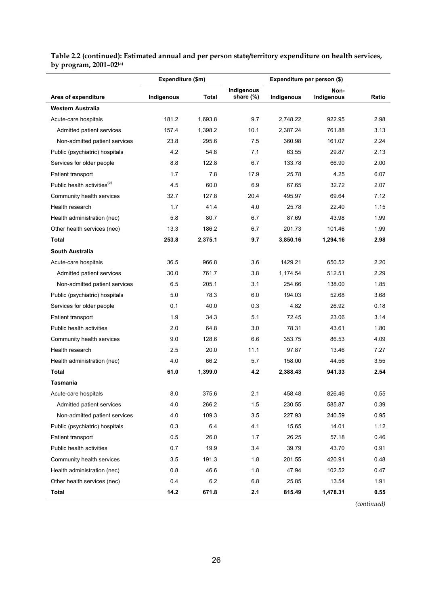#### **Table 2.2 (continued): Estimated annual and per person state/territory expenditure on health services, by program, 2001–02(a)**

|                                         | Expenditure (\$m)<br>Total<br>Indigenous |         |                         | Expenditure per person (\$) |                    |       |
|-----------------------------------------|------------------------------------------|---------|-------------------------|-----------------------------|--------------------|-------|
| Area of expenditure                     |                                          |         | Indigenous<br>share (%) | Indigenous                  | Non-<br>Indigenous | Ratio |
| Western Australia                       |                                          |         |                         |                             |                    |       |
| Acute-care hospitals                    | 181.2                                    | 1,693.8 | 9.7                     | 2,748.22                    | 922.95             | 2.98  |
| Admitted patient services               | 157.4                                    | 1,398.2 | 10.1                    | 2,387.24                    | 761.88             | 3.13  |
| Non-admitted patient services           | 23.8                                     | 295.6   | 7.5                     | 360.98                      | 161.07             | 2.24  |
| Public (psychiatric) hospitals          | 4.2                                      | 54.8    | 7.1                     | 63.55                       | 29.87              | 2.13  |
| Services for older people               | 8.8                                      | 122.8   | 6.7                     | 133.78                      | 66.90              | 2.00  |
| Patient transport                       | 1.7                                      | 7.8     | 17.9                    | 25.78                       | 4.25               | 6.07  |
| Public health activities <sup>(b)</sup> | 4.5                                      | 60.0    | 6.9                     | 67.65                       | 32.72              | 2.07  |
| Community health services               | 32.7                                     | 127.8   | 20.4                    | 495.97                      | 69.64              | 7.12  |
| Health research                         | 1.7                                      | 41.4    | 4.0                     | 25.78                       | 22.40              | 1.15  |
| Health administration (nec)             | 5.8                                      | 80.7    | 6.7                     | 87.69                       | 43.98              | 1.99  |
| Other health services (nec)             | 13.3                                     | 186.2   | 6.7                     | 201.73                      | 101.46             | 1.99  |
| Total                                   | 253.8                                    | 2,375.1 | 9.7                     | 3,850.16                    | 1,294.16           | 2.98  |
| <b>South Australia</b>                  |                                          |         |                         |                             |                    |       |
| Acute-care hospitals                    | 36.5                                     | 966.8   | 3.6                     | 1429.21                     | 650.52             | 2.20  |
| Admitted patient services               | 30.0                                     | 761.7   | 3.8                     | 1,174.54                    | 512.51             | 2.29  |
| Non-admitted patient services           | 6.5                                      | 205.1   | 3.1                     | 254.66                      | 138.00             | 1.85  |
| Public (psychiatric) hospitals          | 5.0                                      | 78.3    | 6.0                     | 194.03                      | 52.68              | 3.68  |
| Services for older people               | 0.1                                      | 40.0    | 0.3                     | 4.82                        | 26.92              | 0.18  |
| Patient transport                       | 1.9                                      | 34.3    | 5.1                     | 72.45                       | 23.06              | 3.14  |
| Public health activities                | 2.0                                      | 64.8    | 3.0                     | 78.31                       | 43.61              | 1.80  |
| Community health services               | 9.0                                      | 128.6   | 6.6                     | 353.75                      | 86.53              | 4.09  |
| Health research                         | 2.5                                      | 20.0    | 11.1                    | 97.87                       | 13.46              | 7.27  |
| Health administration (nec)             | 4.0                                      | 66.2    | 5.7                     | 158.00                      | 44.56              | 3.55  |
| Total                                   | 61.0                                     | 1,399.0 | 4.2                     | 2,388.43                    | 941.33             | 2.54  |
| Tasmania                                |                                          |         |                         |                             |                    |       |
| Acute-care hospitals                    | 8.0                                      | 375.6   | 2.1                     | 458.48                      | 826.46             | 0.55  |
| Admitted patient services               | 4.0                                      | 266.2   | 1.5                     | 230.55                      | 585.87             | 0.39  |
| Non-admitted patient services           | 4.0                                      | 109.3   | 3.5                     | 227.93                      | 240.59             | 0.95  |
| Public (psychiatric) hospitals          | 0.3                                      | 6.4     | 4.1                     | 15.65                       | 14.01              | 1.12  |
| Patient transport                       | 0.5                                      | 26.0    | 1.7                     | 26.25                       | 57.18              | 0.46  |
| Public health activities                | 0.7                                      | 19.9    | 3.4                     | 39.79                       | 43.70              | 0.91  |
| Community health services               | 3.5                                      | 191.3   | 1.8                     | 201.55                      | 420.91             | 0.48  |
| Health administration (nec)             | 0.8                                      | 46.6    | 1.8                     | 47.94                       | 102.52             | 0.47  |
| Other health services (nec)             | 0.4                                      | $6.2\,$ | 6.8                     | 25.85                       | 13.54              | 1.91  |
| <b>Total</b>                            | 14.2                                     | 671.8   | 2.1                     | 815.49                      | 1,478.31           | 0.55  |

*(continued)*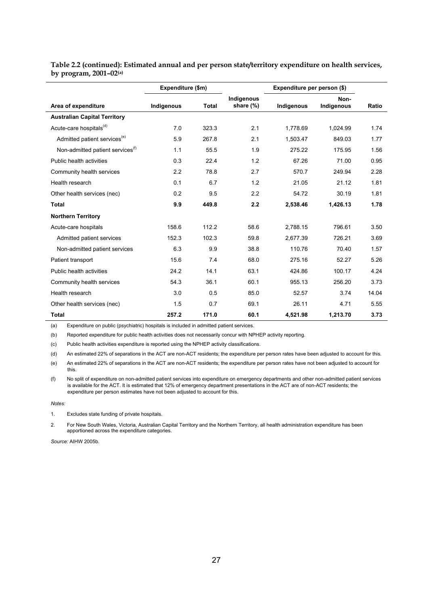|                                              | Expenditure (\$m) |              |                         | Expenditure per person (\$) |                    |       |
|----------------------------------------------|-------------------|--------------|-------------------------|-----------------------------|--------------------|-------|
| Area of expenditure                          | Indigenous        | <b>Total</b> | Indigenous<br>share (%) | Indigenous                  | Non-<br>Indigenous | Ratio |
| <b>Australian Capital Territory</b>          |                   |              |                         |                             |                    |       |
| Acute-care hospitals <sup>(d)</sup>          | 7.0               | 323.3        | 2.1                     | 1.778.69                    | 1,024.99           | 1.74  |
| Admitted patient services <sup>(e)</sup>     | 5.9               | 267.8        | 2.1                     | 1,503.47                    | 849.03             | 1.77  |
| Non-admitted patient services <sup>(f)</sup> | 1.1               | 55.5         | 1.9                     | 275.22                      | 175.95             | 1.56  |
| Public health activities                     | 0.3               | 22.4         | 1.2                     | 67.26                       | 71.00              | 0.95  |
| Community health services                    | 2.2               | 78.8         | 2.7                     | 570.7                       | 249.94             | 2.28  |
| Health research                              | 0.1               | 6.7          | 1.2                     | 21.05                       | 21.12              | 1.81  |
| Other health services (nec)                  | 0.2               | 9.5          | 2.2                     | 54.72                       | 30.19              | 1.81  |
| <b>Total</b>                                 | 9.9               | 449.8        | 2.2                     | 2.538.46                    | 1,426.13           | 1.78  |
| <b>Northern Territory</b>                    |                   |              |                         |                             |                    |       |
| Acute-care hospitals                         | 158.6             | 112.2        | 58.6                    | 2.788.15                    | 796.61             | 3.50  |
| Admitted patient services                    | 152.3             | 102.3        | 59.8                    | 2,677.39                    | 726.21             | 3.69  |
| Non-admitted patient services                | 6.3               | 9.9          | 38.8                    | 110.76                      | 70.40              | 1.57  |
| Patient transport                            | 15.6              | 7.4          | 68.0                    | 275.16                      | 52.27              | 5.26  |
| Public health activities                     | 24.2              | 14.1         | 63.1                    | 424.86                      | 100.17             | 4.24  |
| Community health services                    | 54.3              | 36.1         | 60.1                    | 955.13                      | 256.20             | 3.73  |
| Health research                              | 3.0               | 0.5          | 85.0                    | 52.57                       | 3.74               | 14.04 |
| Other health services (nec)                  | 1.5               | 0.7          | 69.1                    | 26.11                       | 4.71               | 5.55  |
| <b>Total</b>                                 | 257.2             | 171.0        | 60.1                    | 4,521.98                    | 1,213.70           | 3.73  |

#### **Table 2.2 (continued): Estimated annual and per person state/territory expenditure on health services, by program, 2001–02(a)**

(a) Expenditure on public (psychiatric) hospitals is included in admitted patient services.

(b) Reported expenditure for public health activities does not necessarily concur with NPHEP activity reporting.

(c) Public health activities expenditure is reported using the NPHEP activity classifications.

(d) An estimated 22% of separations in the ACT are non-ACT residents; the expenditure per person rates have been adjusted to account for this.

(e) An estimated 22% of separations in the ACT are non-ACT residents; the expenditure per person rates have not been adjusted to account for this.

(f) No split of expenditure on non-admitted patient services into expenditure on emergency departments and other non-admitted patient services is available for the ACT. It is estimated that 12% of emergency department presentations in the ACT are of non-ACT residents; the expenditure per person estimates have not been adjusted to account for this.

*Notes:* 

1. Excludes state funding of private hospitals.

2. For New South Wales, Victoria, Australian Capital Territory and the Northern Territory, all health administration expenditure has been apportioned across the expenditure categories.

*Source:* AIHW 2005b.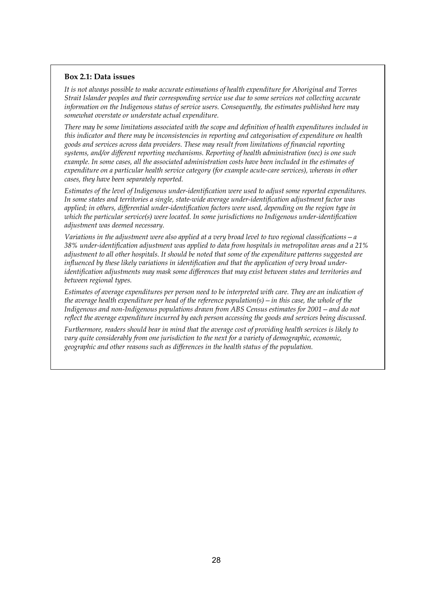#### **Box 2.1: Data issues**

*It is not always possible to make accurate estimations of health expenditure for Aboriginal and Torres Strait Islander peoples and their corresponding service use due to some services not collecting accurate information on the Indigenous status of service users. Consequently, the estimates published here may somewhat overstate or understate actual expenditure.* 

*There may be some limitations associated with the scope and definition of health expenditures included in this indicator and there may be inconsistencies in reporting and categorisation of expenditure on health goods and services across data providers. These may result from limitations of financial reporting systems, and/or different reporting mechanisms. Reporting of health administration (nec) is one such example. In some cases, all the associated administration costs have been included in the estimates of expenditure on a particular health service category (for example acute-care services), whereas in other cases, they have been separately reported.* 

*Estimates of the level of Indigenous under-identification were used to adjust some reported expenditures. In some states and territories a single, state-wide average under-identification adjustment factor was applied; in others, differential under-identification factors were used, depending on the region type in which the particular service(s) were located. In some jurisdictions no Indigenous under-identification adjustment was deemed necessary.* 

*Variations in the adjustment were also applied at a very broad level to two regional classifications—a 38% under-identification adjustment was applied to data from hospitals in metropolitan areas and a 21% adjustment to all other hospitals. It should be noted that some of the expenditure patterns suggested are influenced by these likely variations in identification and that the application of very broad underidentification adjustments may mask some differences that may exist between states and territories and between regional types.* 

*Estimates of average expenditures per person need to be interpreted with care. They are an indication of the average health expenditure per head of the reference population(s)—in this case, the whole of the Indigenous and non-Indigenous populations drawn from ABS Census estimates for 2001—and do not reflect the average expenditure incurred by each person accessing the goods and services being discussed.* 

*Furthermore, readers should bear in mind that the average cost of providing health services is likely to vary quite considerably from one jurisdiction to the next for a variety of demographic, economic, geographic and other reasons such as differences in the health status of the population.*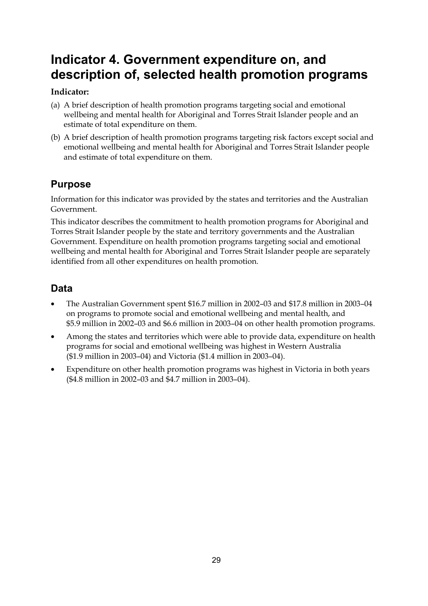# **Indicator 4. Government expenditure on, and description of, selected health promotion programs**

# **Indicator:**

- (a) A brief description of health promotion programs targeting social and emotional wellbeing and mental health for Aboriginal and Torres Strait Islander people and an estimate of total expenditure on them.
- (b) A brief description of health promotion programs targeting risk factors except social and emotional wellbeing and mental health for Aboriginal and Torres Strait Islander people and estimate of total expenditure on them.

# **Purpose**

Information for this indicator was provided by the states and territories and the Australian Government.

This indicator describes the commitment to health promotion programs for Aboriginal and Torres Strait Islander people by the state and territory governments and the Australian Government. Expenditure on health promotion programs targeting social and emotional wellbeing and mental health for Aboriginal and Torres Strait Islander people are separately identified from all other expenditures on health promotion.

# **Data**

- The Australian Government spent \$16.7 million in 2002–03 and \$17.8 million in 2003–04 on programs to promote social and emotional wellbeing and mental health, and \$5.9 million in 2002–03 and \$6.6 million in 2003–04 on other health promotion programs.
- Among the states and territories which were able to provide data, expenditure on health programs for social and emotional wellbeing was highest in Western Australia (\$1.9 million in 2003–04) and Victoria (\$1.4 million in 2003–04).
- Expenditure on other health promotion programs was highest in Victoria in both years (\$4.8 million in 2002–03 and \$4.7 million in 2003–04).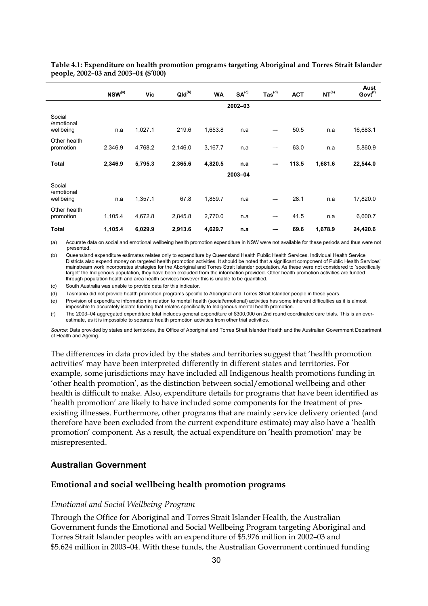|                                   | $NSW^{(a)}$ | <b>Vic</b> | $Qld^{(b)}$ | <b>WA</b> | SA <sup>(c)</sup> | $\text{Tas}^{\text{(d)}}$ | <b>ACT</b> | NT <sup>(e)</sup> | Aust<br>Govt <sup>(f)</sup> |
|-----------------------------------|-------------|------------|-------------|-----------|-------------------|---------------------------|------------|-------------------|-----------------------------|
|                                   | $2002 - 03$ |            |             |           |                   |                           |            |                   |                             |
| Social<br>/emotional<br>wellbeing | n.a         | 1,027.1    | 219.6       | 1,653.8   | n.a               |                           | 50.5       | n.a               | 16,683.1                    |
| Other health<br>promotion         | 2,346.9     | 4,768.2    | 2,146.0     | 3,167.7   | n.a               | --                        | 63.0       | n.a               | 5,860.9                     |
| <b>Total</b>                      | 2,346.9     | 5,795.3    | 2,365.6     | 4,820.5   | n.a               | --                        | 113.5      | 1,681.6           | 22,544.0                    |
|                                   | 2003-04     |            |             |           |                   |                           |            |                   |                             |
| Social<br>/emotional<br>wellbeing | n.a         | 1,357.1    | 67.8        | 1,859.7   | n a               |                           | 28.1       | n.a               | 17,820.0                    |
| Other health<br>promotion         | 1,105.4     | 4,672.8    | 2,845.8     | 2,770.0   | n.a               | --                        | 41.5       | n.a               | 6,600.7                     |
| Total                             | 1,105.4     | 6,029.9    | 2,913.6     | 4,629.7   | n.a               |                           | 69.6       | 1,678.9           | 24,420.6                    |

**Table 4.1: Expenditure on health promotion programs targeting Aboriginal and Torres Strait Islander people, 2002–03 and 2003–04 (\$'000)** 

(a) Accurate data on social and emotional wellbeing health promotion expenditure in NSW were not available for these periods and thus were not presented.

(b) Queensland expenditure estimates relates only to expenditure by Queensland Health Public Health Services. Individual Health Service Districts also expend money on targeted health promotion activities. It should be noted that a significant component of Public Health Services' mainstream work incorporates strategies for the Aboriginal and Torres Strait Islander population. As these were not considered to 'specifically target' the Indigenous population, they have been excluded from the information provided. Other health promotion activities are funded through population health and area health services however this is unable to be quantified.

(c) South Australia was unable to provide data for this indicator.

(d) Tasmania did not provide health promotion programs specific to Aboriginal and Torres Strait Islander people in these years.

(e) Provision of expenditure information in relation to mental health (social/emotional) activities has some inherent difficulties as it is almost impossible to accurately isolate funding that relates specifically to Indigenous mental health promotion.

(f) The 2003–04 aggregated expenditure total includes general expenditure of \$300,000 on 2nd round coordinated care trials. This is an overestimate, as it is impossible to separate health promotion activities from other trial activities.

*Source:* Data provided by states and territories, the Office of Aboriginal and Torres Strait Islander Health and the Australian Government Department of Health and Ageing.

The differences in data provided by the states and territories suggest that 'health promotion activities' may have been interpreted differently in different states and territories. For example, some jurisdictions may have included all Indigenous health promotions funding in 'other health promotion', as the distinction between social/emotional wellbeing and other health is difficult to make. Also, expenditure details for programs that have been identified as 'health promotion' are likely to have included some components for the treatment of preexisting illnesses. Furthermore, other programs that are mainly service delivery oriented (and therefore have been excluded from the current expenditure estimate) may also have a 'health promotion' component. As a result, the actual expenditure on 'health promotion' may be misrepresented.

#### **Australian Government**

#### **Emotional and social wellbeing health promotion programs**

#### *Emotional and Social Wellbeing Program*

Through the Office for Aboriginal and Torres Strait Islander Health, the Australian Government funds the Emotional and Social Wellbeing Program targeting Aboriginal and Torres Strait Islander peoples with an expenditure of \$5.976 million in 2002–03 and \$5.624 million in 2003–04. With these funds, the Australian Government continued funding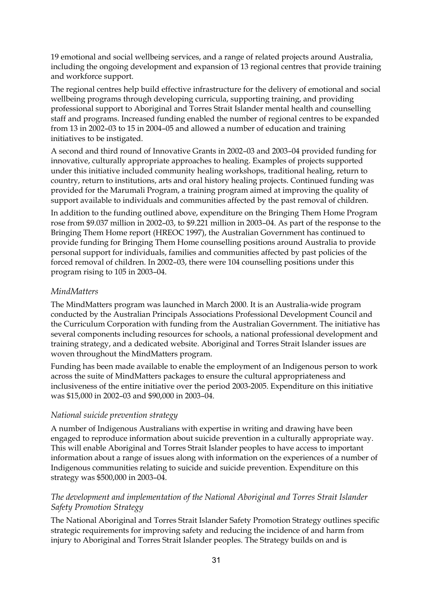19 emotional and social wellbeing services, and a range of related projects around Australia, including the ongoing development and expansion of 13 regional centres that provide training and workforce support.

The regional centres help build effective infrastructure for the delivery of emotional and social wellbeing programs through developing curricula, supporting training, and providing professional support to Aboriginal and Torres Strait Islander mental health and counselling staff and programs. Increased funding enabled the number of regional centres to be expanded from 13 in 2002–03 to 15 in 2004–05 and allowed a number of education and training initiatives to be instigated.

A second and third round of Innovative Grants in 2002–03 and 2003–04 provided funding for innovative, culturally appropriate approaches to healing. Examples of projects supported under this initiative included community healing workshops, traditional healing, return to country, return to institutions, arts and oral history healing projects. Continued funding was provided for the Marumali Program, a training program aimed at improving the quality of support available to individuals and communities affected by the past removal of children.

In addition to the funding outlined above, expenditure on the Bringing Them Home Program rose from \$9.037 million in 2002–03, to \$9.221 million in 2003–04. As part of the response to the Bringing Them Home report (HREOC 1997), the Australian Government has continued to provide funding for Bringing Them Home counselling positions around Australia to provide personal support for individuals, families and communities affected by past policies of the forced removal of children. In 2002–03, there were 104 counselling positions under this program rising to 105 in 2003–04.

# *MindMatters*

The MindMatters program was launched in March 2000. It is an Australia-wide program conducted by the Australian Principals Associations Professional Development Council and the Curriculum Corporation with funding from the Australian Government. The initiative has several components including resources for schools, a national professional development and training strategy, and a dedicated website. Aboriginal and Torres Strait Islander issues are woven throughout the MindMatters program.

Funding has been made available to enable the employment of an Indigenous person to work across the suite of MindMatters packages to ensure the cultural appropriateness and inclusiveness of the entire initiative over the period 2003-2005. Expenditure on this initiative was \$15,000 in 2002–03 and \$90,000 in 2003–04.

#### *National suicide prevention strategy*

A number of Indigenous Australians with expertise in writing and drawing have been engaged to reproduce information about suicide prevention in a culturally appropriate way. This will enable Aboriginal and Torres Strait Islander peoples to have access to important information about a range of issues along with information on the experiences of a number of Indigenous communities relating to suicide and suicide prevention. Expenditure on this strategy was \$500,000 in 2003–04.

# *The development and implementation of the National Aboriginal and Torres Strait Islander Safety Promotion Strategy*

The National Aboriginal and Torres Strait Islander Safety Promotion Strategy outlines specific strategic requirements for improving safety and reducing the incidence of and harm from injury to Aboriginal and Torres Strait Islander peoples. The Strategy builds on and is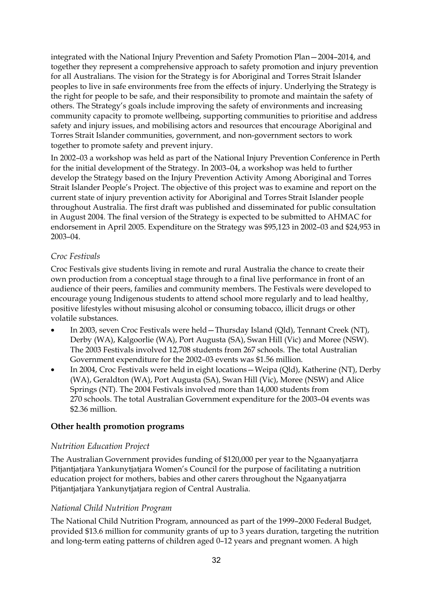integrated with the National Injury Prevention and Safety Promotion Plan—2004–2014, and together they represent a comprehensive approach to safety promotion and injury prevention for all Australians. The vision for the Strategy is for Aboriginal and Torres Strait Islander peoples to live in safe environments free from the effects of injury. Underlying the Strategy is the right for people to be safe, and their responsibility to promote and maintain the safety of others. The Strategy's goals include improving the safety of environments and increasing community capacity to promote wellbeing, supporting communities to prioritise and address safety and injury issues, and mobilising actors and resources that encourage Aboriginal and Torres Strait Islander communities, government, and non-government sectors to work together to promote safety and prevent injury.

In 2002–03 a workshop was held as part of the National Injury Prevention Conference in Perth for the initial development of the Strategy. In 2003–04, a workshop was held to further develop the Strategy based on the Injury Prevention Activity Among Aboriginal and Torres Strait Islander People's Project. The objective of this project was to examine and report on the current state of injury prevention activity for Aboriginal and Torres Strait Islander people throughout Australia. The first draft was published and disseminated for public consultation in August 2004. The final version of the Strategy is expected to be submitted to AHMAC for endorsement in April 2005. Expenditure on the Strategy was \$95,123 in 2002–03 and \$24,953 in 2003–04.

# *Croc Festivals*

Croc Festivals give students living in remote and rural Australia the chance to create their own production from a conceptual stage through to a final live performance in front of an audience of their peers, families and community members. The Festivals were developed to encourage young Indigenous students to attend school more regularly and to lead healthy, positive lifestyles without misusing alcohol or consuming tobacco, illicit drugs or other volatile substances.

- In 2003, seven Croc Festivals were held—Thursday Island (Qld), Tennant Creek (NT), Derby (WA), Kalgoorlie (WA), Port Augusta (SA), Swan Hill (Vic) and Moree (NSW). The 2003 Festivals involved 12,708 students from 267 schools. The total Australian Government expenditure for the 2002–03 events was \$1.56 million.
- In 2004, Croc Festivals were held in eight locations—Weipa (Qld), Katherine (NT), Derby (WA), Geraldton (WA), Port Augusta (SA), Swan Hill (Vic), Moree (NSW) and Alice Springs (NT). The 2004 Festivals involved more than 14,000 students from 270 schools. The total Australian Government expenditure for the 2003–04 events was \$2.36 million.

#### **Other health promotion programs**

#### *Nutrition Education Project*

The Australian Government provides funding of \$120,000 per year to the Ngaanyatjarra Pitjantjatjara Yankunytjatjara Women's Council for the purpose of facilitating a nutrition education project for mothers, babies and other carers throughout the Ngaanyatjarra Pitjantjatjara Yankunytjatjara region of Central Australia.

# *National Child Nutrition Program*

The National Child Nutrition Program, announced as part of the 1999–2000 Federal Budget, provided \$13.6 million for community grants of up to 3 years duration, targeting the nutrition and long-term eating patterns of children aged 0–12 years and pregnant women. A high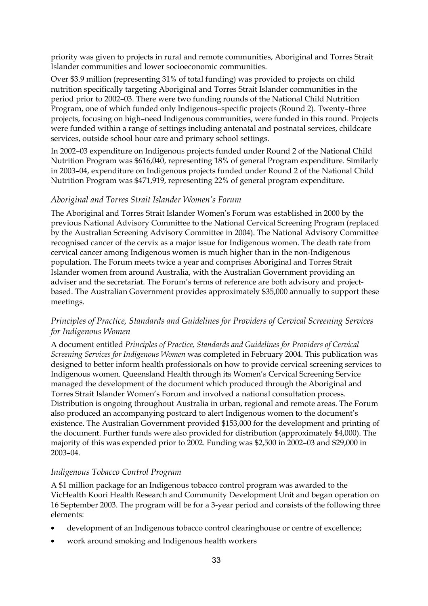priority was given to projects in rural and remote communities, Aboriginal and Torres Strait Islander communities and lower socioeconomic communities.

Over \$3.9 million (representing 31% of total funding) was provided to projects on child nutrition specifically targeting Aboriginal and Torres Strait Islander communities in the period prior to 2002–03. There were two funding rounds of the National Child Nutrition Program, one of which funded only Indigenous–specific projects (Round 2). Twenty–three projects, focusing on high–need Indigenous communities, were funded in this round. Projects were funded within a range of settings including antenatal and postnatal services, childcare services, outside school hour care and primary school settings.

In 2002–03 expenditure on Indigenous projects funded under Round 2 of the National Child Nutrition Program was \$616,040, representing 18% of general Program expenditure. Similarly in 2003–04, expenditure on Indigenous projects funded under Round 2 of the National Child Nutrition Program was \$471,919, representing 22% of general program expenditure.

### *Aboriginal and Torres Strait Islander Women's Forum*

The Aboriginal and Torres Strait Islander Women's Forum was established in 2000 by the previous National Advisory Committee to the National Cervical Screening Program (replaced by the Australian Screening Advisory Committee in 2004). The National Advisory Committee recognised cancer of the cervix as a major issue for Indigenous women. The death rate from cervical cancer among Indigenous women is much higher than in the non-Indigenous population. The Forum meets twice a year and comprises Aboriginal and Torres Strait Islander women from around Australia, with the Australian Government providing an adviser and the secretariat. The Forum's terms of reference are both advisory and projectbased. The Australian Government provides approximately \$35,000 annually to support these meetings.

# *Principles of Practice, Standards and Guidelines for Providers of Cervical Screening Services for Indigenous Women*

A document entitled *Principles of Practice, Standards and Guidelines for Providers of Cervical Screening Services for Indigenous Women* was completed in February 2004. This publication was designed to better inform health professionals on how to provide cervical screening services to Indigenous women. Queensland Health through its Women's Cervical Screening Service managed the development of the document which produced through the Aboriginal and Torres Strait Islander Women's Forum and involved a national consultation process. Distribution is ongoing throughout Australia in urban, regional and remote areas. The Forum also produced an accompanying postcard to alert Indigenous women to the document's existence. The Australian Government provided \$153,000 for the development and printing of the document. Further funds were also provided for distribution (approximately \$4,000). The majority of this was expended prior to 2002. Funding was \$2,500 in 2002–03 and \$29,000 in 2003–04.

# *Indigenous Tobacco Control Program*

A \$1 million package for an Indigenous tobacco control program was awarded to the VicHealth Koori Health Research and Community Development Unit and began operation on 16 September 2003. The program will be for a 3-year period and consists of the following three elements:

- development of an Indigenous tobacco control clearinghouse or centre of excellence;
- work around smoking and Indigenous health workers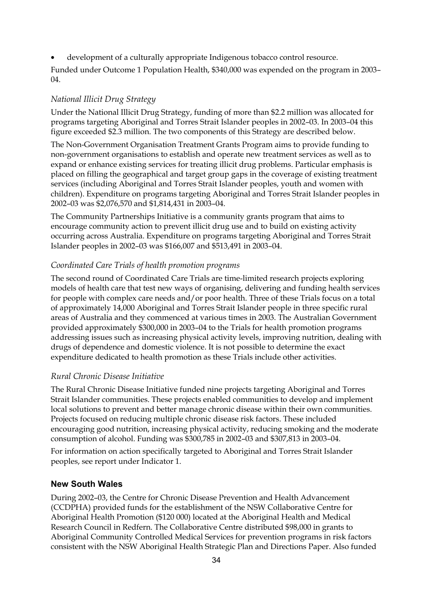• development of a culturally appropriate Indigenous tobacco control resource.

Funded under Outcome 1 Population Health, \$340,000 was expended on the program in 2003–  $04.$ 

### *National Illicit Drug Strategy*

Under the National Illicit Drug Strategy, funding of more than \$2.2 million was allocated for programs targeting Aboriginal and Torres Strait Islander peoples in 2002–03. In 2003–04 this figure exceeded \$2.3 million. The two components of this Strategy are described below.

The Non-Government Organisation Treatment Grants Program aims to provide funding to non-government organisations to establish and operate new treatment services as well as to expand or enhance existing services for treating illicit drug problems. Particular emphasis is placed on filling the geographical and target group gaps in the coverage of existing treatment services (including Aboriginal and Torres Strait Islander peoples, youth and women with children). Expenditure on programs targeting Aboriginal and Torres Strait Islander peoples in 2002–03 was \$2,076,570 and \$1,814,431 in 2003–04.

The Community Partnerships Initiative is a community grants program that aims to encourage community action to prevent illicit drug use and to build on existing activity occurring across Australia. Expenditure on programs targeting Aboriginal and Torres Strait Islander peoples in 2002–03 was \$166,007 and \$513,491 in 2003–04.

### *Coordinated Care Trials of health promotion programs*

The second round of Coordinated Care Trials are time-limited research projects exploring models of health care that test new ways of organising, delivering and funding health services for people with complex care needs and/or poor health. Three of these Trials focus on a total of approximately 14,000 Aboriginal and Torres Strait Islander people in three specific rural areas of Australia and they commenced at various times in 2003. The Australian Government provided approximately \$300,000 in 2003–04 to the Trials for health promotion programs addressing issues such as increasing physical activity levels, improving nutrition, dealing with drugs of dependence and domestic violence. It is not possible to determine the exact expenditure dedicated to health promotion as these Trials include other activities.

# *Rural Chronic Disease Initiative*

The Rural Chronic Disease Initiative funded nine projects targeting Aboriginal and Torres Strait Islander communities. These projects enabled communities to develop and implement local solutions to prevent and better manage chronic disease within their own communities. Projects focused on reducing multiple chronic disease risk factors. These included encouraging good nutrition, increasing physical activity, reducing smoking and the moderate consumption of alcohol. Funding was \$300,785 in 2002–03 and \$307,813 in 2003–04.

For information on action specifically targeted to Aboriginal and Torres Strait Islander peoples, see report under Indicator 1.

#### **New South Wales**

During 2002–03, the Centre for Chronic Disease Prevention and Health Advancement (CCDPHA) provided funds for the establishment of the NSW Collaborative Centre for Aboriginal Health Promotion (\$120 000) located at the Aboriginal Health and Medical Research Council in Redfern. The Collaborative Centre distributed \$98,000 in grants to Aboriginal Community Controlled Medical Services for prevention programs in risk factors consistent with the NSW Aboriginal Health Strategic Plan and Directions Paper. Also funded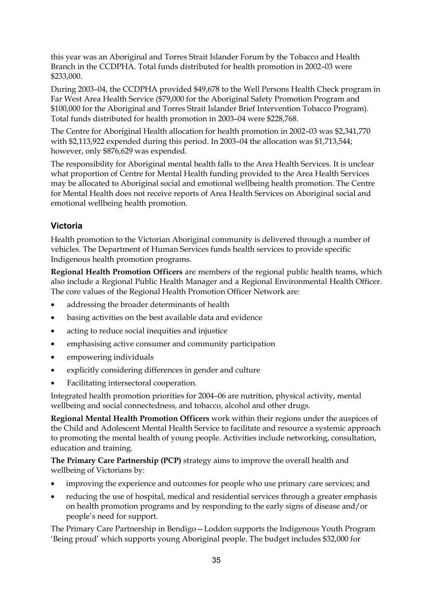this year was an Aboriginal and Torres Strait Islander Forum by the Tobacco and Health Branch in the CCDPHA. Total funds distributed for health promotion in 2002–03 were \$233,000.

During 2003–04, the CCDPHA provided \$49,678 to the Well Persons Health Check program in Far West Area Health Service (\$79,000 for the Aboriginal Safety Promotion Program and \$100,000 for the Aboriginal and Torres Strait Islander Brief Intervention Tobacco Program). Total funds distributed for health promotion in 2003–04 were \$228,768.

The Centre for Aboriginal Health allocation for health promotion in 2002–03 was \$2,341,770 with \$2,113,922 expended during this period. In 2003–04 the allocation was \$1,713,544; however, only \$876,629 was expended.

The responsibility for Aboriginal mental health falls to the Area Health Services. It is unclear what proportion of Centre for Mental Health funding provided to the Area Health Services may be allocated to Aboriginal social and emotional wellbeing health promotion. The Centre for Mental Health does not receive reports of Area Health Services on Aboriginal social and emotional wellbeing health promotion.

# **Victoria**

Health promotion to the Victorian Aboriginal community is delivered through a number of vehicles. The Department of Human Services funds health services to provide specific Indigenous health promotion programs.

**Regional Health Promotion Officers** are members of the regional public health teams, which also include a Regional Public Health Manager and a Regional Environmental Health Officer. The core values of the Regional Health Promotion Officer Network are:

- addressing the broader determinants of health
- basing activities on the best available data and evidence
- acting to reduce social inequities and injustice
- emphasising active consumer and community participation
- empowering individuals
- explicitly considering differences in gender and culture
- Facilitating intersectoral cooperation.

Integrated health promotion priorities for 2004–06 are nutrition, physical activity, mental wellbeing and social connectedness, and tobacco, alcohol and other drugs.

**Regional Mental Health Promotion Officers** work within their regions under the auspices of the Child and Adolescent Mental Health Service to facilitate and resource a systemic approach to promoting the mental health of young people. Activities include networking, consultation, education and training.

**The Primary Care Partnership (PCP)** strategy aims to improve the overall health and wellbeing of Victorians by:

- improving the experience and outcomes for people who use primary care services; and
- reducing the use of hospital, medical and residential services through a greater emphasis on health promotion programs and by responding to the early signs of disease and/or people's need for support.

The Primary Care Partnership in Bendigo—Loddon supports the Indigenous Youth Program 'Being proud' which supports young Aboriginal people. The budget includes \$32,000 for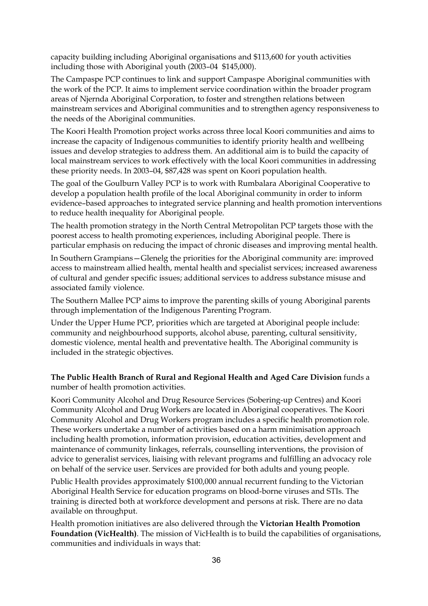capacity building including Aboriginal organisations and \$113,600 for youth activities including those with Aboriginal youth (2003–04 \$145,000).

The Campaspe PCP continues to link and support Campaspe Aboriginal communities with the work of the PCP. It aims to implement service coordination within the broader program areas of Njernda Aboriginal Corporation, to foster and strengthen relations between mainstream services and Aboriginal communities and to strengthen agency responsiveness to the needs of the Aboriginal communities.

The Koori Health Promotion project works across three local Koori communities and aims to increase the capacity of Indigenous communities to identify priority health and wellbeing issues and develop strategies to address them. An additional aim is to build the capacity of local mainstream services to work effectively with the local Koori communities in addressing these priority needs. In 2003–04, \$87,428 was spent on Koori population health.

The goal of the Goulburn Valley PCP is to work with Rumbalara Aboriginal Cooperative to develop a population health profile of the local Aboriginal community in order to inform evidence–based approaches to integrated service planning and health promotion interventions to reduce health inequality for Aboriginal people.

The health promotion strategy in the North Central Metropolitan PCP targets those with the poorest access to health promoting experiences, including Aboriginal people. There is particular emphasis on reducing the impact of chronic diseases and improving mental health.

In Southern Grampians—Glenelg the priorities for the Aboriginal community are: improved access to mainstream allied health, mental health and specialist services; increased awareness of cultural and gender specific issues; additional services to address substance misuse and associated family violence.

The Southern Mallee PCP aims to improve the parenting skills of young Aboriginal parents through implementation of the Indigenous Parenting Program.

Under the Upper Hume PCP, priorities which are targeted at Aboriginal people include: community and neighbourhood supports, alcohol abuse, parenting, cultural sensitivity, domestic violence, mental health and preventative health. The Aboriginal community is included in the strategic objectives.

**The Public Health Branch of Rural and Regional Health and Aged Care Division** funds a number of health promotion activities.

Koori Community Alcohol and Drug Resource Services (Sobering-up Centres) and Koori Community Alcohol and Drug Workers are located in Aboriginal cooperatives. The Koori Community Alcohol and Drug Workers program includes a specific health promotion role. These workers undertake a number of activities based on a harm minimisation approach including health promotion, information provision, education activities, development and maintenance of community linkages, referrals, counselling interventions, the provision of advice to generalist services, liaising with relevant programs and fulfilling an advocacy role on behalf of the service user. Services are provided for both adults and young people.

Public Health provides approximately \$100,000 annual recurrent funding to the Victorian Aboriginal Health Service for education programs on blood-borne viruses and STIs. The training is directed both at workforce development and persons at risk. There are no data available on throughput.

Health promotion initiatives are also delivered through the **Victorian Health Promotion Foundation (VicHealth)**. The mission of VicHealth is to build the capabilities of organisations, communities and individuals in ways that: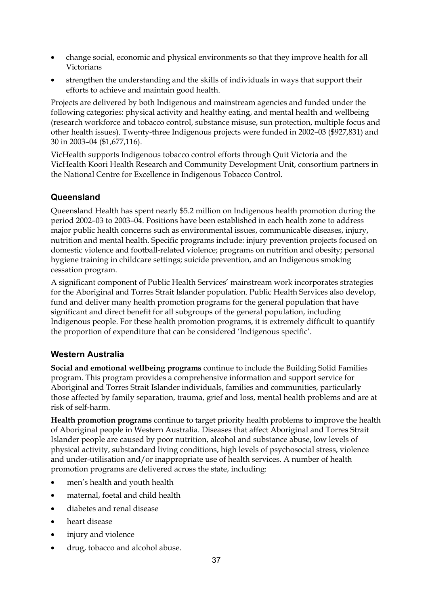- change social, economic and physical environments so that they improve health for all Victorians
- strengthen the understanding and the skills of individuals in ways that support their efforts to achieve and maintain good health.

Projects are delivered by both Indigenous and mainstream agencies and funded under the following categories: physical activity and healthy eating, and mental health and wellbeing (research workforce and tobacco control, substance misuse, sun protection, multiple focus and other health issues). Twenty-three Indigenous projects were funded in 2002–03 (\$927,831) and 30 in 2003–04 (\$1,677,116).

VicHealth supports Indigenous tobacco control efforts through Quit Victoria and the VicHealth Koori Health Research and Community Development Unit, consortium partners in the National Centre for Excellence in Indigenous Tobacco Control.

# **Queensland**

Queensland Health has spent nearly \$5.2 million on Indigenous health promotion during the period 2002–03 to 2003–04. Positions have been established in each health zone to address major public health concerns such as environmental issues, communicable diseases, injury, nutrition and mental health. Specific programs include: injury prevention projects focused on domestic violence and football-related violence; programs on nutrition and obesity; personal hygiene training in childcare settings; suicide prevention, and an Indigenous smoking cessation program.

A significant component of Public Health Services' mainstream work incorporates strategies for the Aboriginal and Torres Strait Islander population. Public Health Services also develop, fund and deliver many health promotion programs for the general population that have significant and direct benefit for all subgroups of the general population, including Indigenous people. For these health promotion programs, it is extremely difficult to quantify the proportion of expenditure that can be considered 'Indigenous specific'.

# **Western Australia**

**Social and emotional wellbeing programs** continue to include the Building Solid Families program. This program provides a comprehensive information and support service for Aboriginal and Torres Strait Islander individuals, families and communities, particularly those affected by family separation, trauma, grief and loss, mental health problems and are at risk of self-harm.

**Health promotion programs** continue to target priority health problems to improve the health of Aboriginal people in Western Australia. Diseases that affect Aboriginal and Torres Strait Islander people are caused by poor nutrition, alcohol and substance abuse, low levels of physical activity, substandard living conditions, high levels of psychosocial stress, violence and under-utilisation and/or inappropriate use of health services. A number of health promotion programs are delivered across the state, including:

- men's health and youth health
- maternal, foetal and child health
- diabetes and renal disease
- heart disease
- injury and violence
- drug, tobacco and alcohol abuse.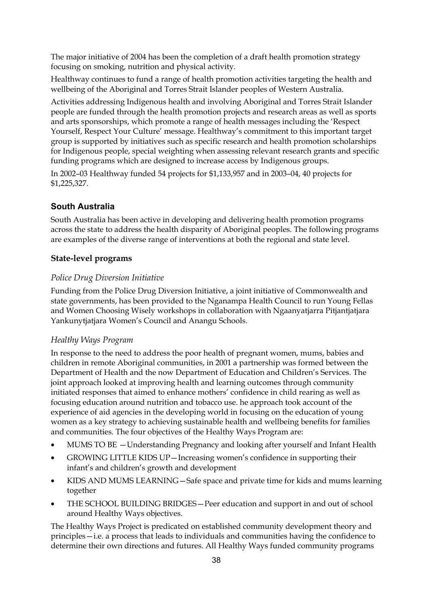The major initiative of 2004 has been the completion of a draft health promotion strategy focusing on smoking, nutrition and physical activity.

Healthway continues to fund a range of health promotion activities targeting the health and wellbeing of the Aboriginal and Torres Strait Islander peoples of Western Australia.

Activities addressing Indigenous health and involving Aboriginal and Torres Strait Islander people are funded through the health promotion projects and research areas as well as sports and arts sponsorships, which promote a range of health messages including the 'Respect Yourself, Respect Your Culture' message. Healthway's commitment to this important target group is supported by initiatives such as specific research and health promotion scholarships for Indigenous people, special weighting when assessing relevant research grants and specific funding programs which are designed to increase access by Indigenous groups.

In 2002–03 Healthway funded 54 projects for \$1,133,957 and in 2003–04, 40 projects for \$1,225,327.

# **South Australia**

South Australia has been active in developing and delivering health promotion programs across the state to address the health disparity of Aboriginal peoples. The following programs are examples of the diverse range of interventions at both the regional and state level.

# **State-level programs**

# *Police Drug Diversion Initiative*

Funding from the Police Drug Diversion Initiative, a joint initiative of Commonwealth and state governments, has been provided to the Nganampa Health Council to run Young Fellas and Women Choosing Wisely workshops in collaboration with Ngaanyatjarra Pitjantjatjara Yankunytjatjara Women's Council and Anangu Schools.

# *Healthy Ways Program*

In response to the need to address the poor health of pregnant women, mums, babies and children in remote Aboriginal communities, in 2001 a partnership was formed between the Department of Health and the now Department of Education and Children's Services. The joint approach looked at improving health and learning outcomes through community initiated responses that aimed to enhance mothers' confidence in child rearing as well as focusing education around nutrition and tobacco use. he approach took account of the experience of aid agencies in the developing world in focusing on the education of young women as a key strategy to achieving sustainable health and wellbeing benefits for families and communities. The four objectives of the Healthy Ways Program are:

- MUMS TO BE Understanding Pregnancy and looking after yourself and Infant Health
- GROWING LITTLE KIDS UP Increasing women's confidence in supporting their infant's and children's growth and development
- KIDS AND MUMS LEARNING—Safe space and private time for kids and mums learning together
- THE SCHOOL BUILDING BRIDGES—Peer education and support in and out of school around Healthy Ways objectives.

The Healthy Ways Project is predicated on established community development theory and principles—i.e. a process that leads to individuals and communities having the confidence to determine their own directions and futures. All Healthy Ways funded community programs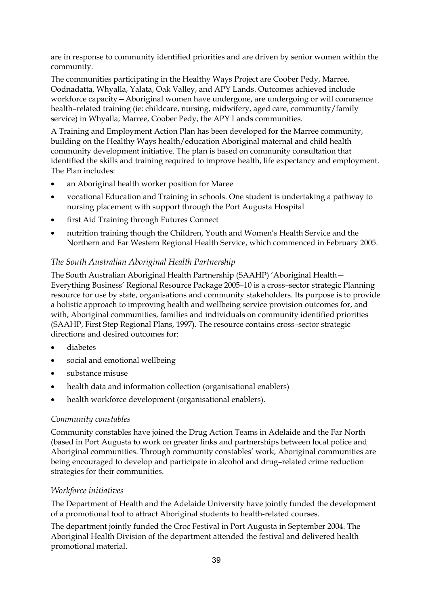are in response to community identified priorities and are driven by senior women within the community.

The communities participating in the Healthy Ways Project are Coober Pedy, Marree, Oodnadatta, Whyalla, Yalata, Oak Valley, and APY Lands. Outcomes achieved include workforce capacity—Aboriginal women have undergone, are undergoing or will commence health–related training (ie: childcare, nursing, midwifery, aged care, community/family service) in Whyalla, Marree, Coober Pedy, the APY Lands communities.

A Training and Employment Action Plan has been developed for the Marree community, building on the Healthy Ways health/education Aboriginal maternal and child health community development initiative. The plan is based on community consultation that identified the skills and training required to improve health, life expectancy and employment. The Plan includes:

- an Aboriginal health worker position for Maree
- vocational Education and Training in schools. One student is undertaking a pathway to nursing placement with support through the Port Augusta Hospital
- first Aid Training through Futures Connect
- nutrition training though the Children, Youth and Women's Health Service and the Northern and Far Western Regional Health Service, which commenced in February 2005.

# *The South Australian Aboriginal Health Partnership*

The South Australian Aboriginal Health Partnership (SAAHP) 'Aboriginal Health— Everything Business' Regional Resource Package 2005–10 is a cross–sector strategic Planning resource for use by state, organisations and community stakeholders. Its purpose is to provide a holistic approach to improving health and wellbeing service provision outcomes for, and with, Aboriginal communities, families and individuals on community identified priorities (SAAHP, First Step Regional Plans, 1997). The resource contains cross–sector strategic directions and desired outcomes for:

- diabetes
- social and emotional wellbeing
- substance misuse
- health data and information collection (organisational enablers)
- health workforce development (organisational enablers).

# *Community constables*

Community constables have joined the Drug Action Teams in Adelaide and the Far North (based in Port Augusta to work on greater links and partnerships between local police and Aboriginal communities. Through community constables' work, Aboriginal communities are being encouraged to develop and participate in alcohol and drug–related crime reduction strategies for their communities.

# *Workforce initiatives*

The Department of Health and the Adelaide University have jointly funded the development of a promotional tool to attract Aboriginal students to health-related courses.

The department jointly funded the Croc Festival in Port Augusta in September 2004. The Aboriginal Health Division of the department attended the festival and delivered health promotional material.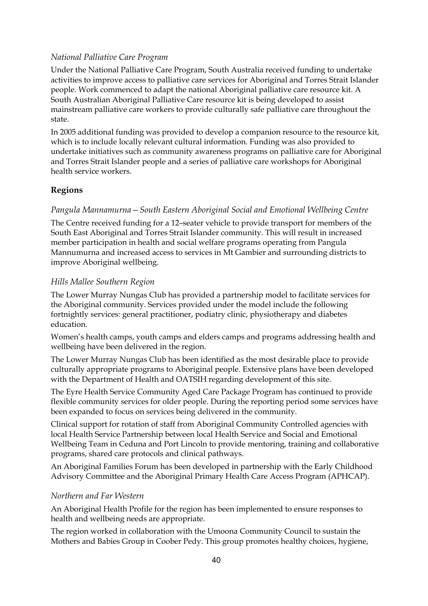# *National Palliative Care Program*

Under the National Palliative Care Program, South Australia received funding to undertake activities to improve access to palliative care services for Aboriginal and Torres Strait Islander people. Work commenced to adapt the national Aboriginal palliative care resource kit. A South Australian Aboriginal Palliative Care resource kit is being developed to assist mainstream palliative care workers to provide culturally safe palliative care throughout the state.

In 2005 additional funding was provided to develop a companion resource to the resource kit, which is to include locally relevant cultural information. Funding was also provided to undertake initiatives such as community awareness programs on palliative care for Aboriginal and Torres Strait Islander people and a series of palliative care workshops for Aboriginal health service workers.

# **Regions**

### *Pangula Mannamurna—South Eastern Aboriginal Social and Emotional Wellbeing Centre*

The Centre received funding for a 12–seater vehicle to provide transport for members of the South East Aboriginal and Torres Strait Islander community. This will result in increased member participation in health and social welfare programs operating from Pangula Mannumurna and increased access to services in Mt Gambier and surrounding districts to improve Aboriginal wellbeing.

### *Hills Mallee Southern Region*

The Lower Murray Nungas Club has provided a partnership model to facilitate services for the Aboriginal community. Services provided under the model include the following fortnightly services: general practitioner, podiatry clinic, physiotherapy and diabetes education.

Women's health camps, youth camps and elders camps and programs addressing health and wellbeing have been delivered in the region.

The Lower Murray Nungas Club has been identified as the most desirable place to provide culturally appropriate programs to Aboriginal people. Extensive plans have been developed with the Department of Health and OATSIH regarding development of this site.

The Eyre Health Service Community Aged Care Package Program has continued to provide flexible community services for older people. During the reporting period some services have been expanded to focus on services being delivered in the community.

Clinical support for rotation of staff from Aboriginal Community Controlled agencies with local Health Service Partnership between local Health Service and Social and Emotional Wellbeing Team in Ceduna and Port Lincoln to provide mentoring, training and collaborative programs, shared care protocols and clinical pathways.

An Aboriginal Families Forum has been developed in partnership with the Early Childhood Advisory Committee and the Aboriginal Primary Health Care Access Program (APHCAP).

# *Northern and Far Western*

An Aboriginal Health Profile for the region has been implemented to ensure responses to health and wellbeing needs are appropriate.

The region worked in collaboration with the Umoona Community Council to sustain the Mothers and Babies Group in Coober Pedy. This group promotes healthy choices, hygiene,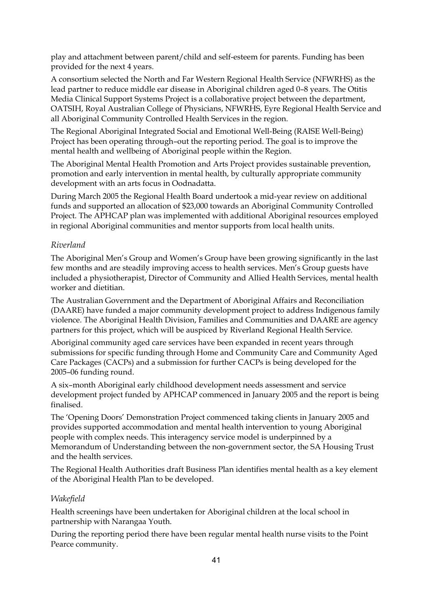play and attachment between parent/child and self-esteem for parents. Funding has been provided for the next 4 years.

A consortium selected the North and Far Western Regional Health Service (NFWRHS) as the lead partner to reduce middle ear disease in Aboriginal children aged 0–8 years. The Otitis Media Clinical Support Systems Project is a collaborative project between the department, OATSIH, Royal Australian College of Physicians, NFWRHS, Eyre Regional Health Service and all Aboriginal Community Controlled Health Services in the region.

The Regional Aboriginal Integrated Social and Emotional Well-Being (RAISE Well-Being) Project has been operating through–out the reporting period. The goal is to improve the mental health and wellbeing of Aboriginal people within the Region.

The Aboriginal Mental Health Promotion and Arts Project provides sustainable prevention, promotion and early intervention in mental health, by culturally appropriate community development with an arts focus in Oodnadatta.

During March 2005 the Regional Health Board undertook a mid-year review on additional funds and supported an allocation of \$23,000 towards an Aboriginal Community Controlled Project. The APHCAP plan was implemented with additional Aboriginal resources employed in regional Aboriginal communities and mentor supports from local health units.

# *Riverland*

The Aboriginal Men's Group and Women's Group have been growing significantly in the last few months and are steadily improving access to health services. Men's Group guests have included a physiotherapist, Director of Community and Allied Health Services, mental health worker and dietitian.

The Australian Government and the Department of Aboriginal Affairs and Reconciliation (DAARE) have funded a major community development project to address Indigenous family violence. The Aboriginal Health Division, Families and Communities and DAARE are agency partners for this project, which will be auspiced by Riverland Regional Health Service.

Aboriginal community aged care services have been expanded in recent years through submissions for specific funding through Home and Community Care and Community Aged Care Packages (CACPs) and a submission for further CACPs is being developed for the 2005–06 funding round.

A six–month Aboriginal early childhood development needs assessment and service development project funded by APHCAP commenced in January 2005 and the report is being finalised.

The 'Opening Doors' Demonstration Project commenced taking clients in January 2005 and provides supported accommodation and mental health intervention to young Aboriginal people with complex needs. This interagency service model is underpinned by a Memorandum of Understanding between the non-government sector, the SA Housing Trust and the health services.

The Regional Health Authorities draft Business Plan identifies mental health as a key element of the Aboriginal Health Plan to be developed.

#### *Wakefield*

Health screenings have been undertaken for Aboriginal children at the local school in partnership with Narangaa Youth.

During the reporting period there have been regular mental health nurse visits to the Point Pearce community.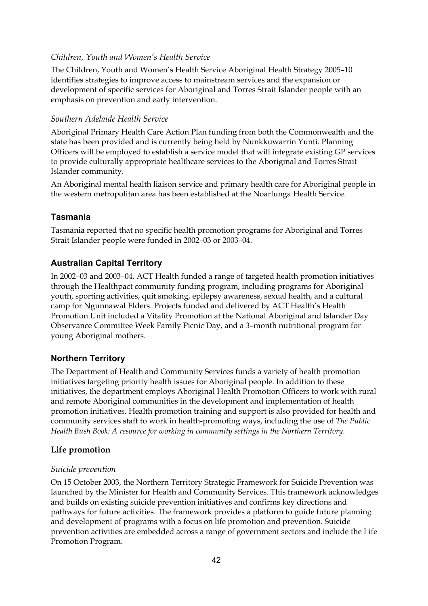# *Children, Youth and Women's Health Service*

The Children, Youth and Women's Health Service Aboriginal Health Strategy 2005–10 identifies strategies to improve access to mainstream services and the expansion or development of specific services for Aboriginal and Torres Strait Islander people with an emphasis on prevention and early intervention.

#### *Southern Adelaide Health Service*

Aboriginal Primary Health Care Action Plan funding from both the Commonwealth and the state has been provided and is currently being held by Nunkkuwarrin Yunti. Planning Officers will be employed to establish a service model that will integrate existing GP services to provide culturally appropriate healthcare services to the Aboriginal and Torres Strait Islander community.

An Aboriginal mental health liaison service and primary health care for Aboriginal people in the western metropolitan area has been established at the Noarlunga Health Service.

#### **Tasmania**

Tasmania reported that no specific health promotion programs for Aboriginal and Torres Strait Islander people were funded in 2002–03 or 2003–04.

#### **Australian Capital Territory**

In 2002–03 and 2003–04, ACT Health funded a range of targeted health promotion initiatives through the Healthpact community funding program, including programs for Aboriginal youth, sporting activities, quit smoking, epilepsy awareness, sexual health, and a cultural camp for Ngunnawal Elders. Projects funded and delivered by ACT Health's Health Promotion Unit included a Vitality Promotion at the National Aboriginal and Islander Day Observance Committee Week Family Picnic Day, and a 3–month nutritional program for young Aboriginal mothers.

#### **Northern Territory**

The Department of Health and Community Services funds a variety of health promotion initiatives targeting priority health issues for Aboriginal people. In addition to these initiatives, the department employs Aboriginal Health Promotion Officers to work with rural and remote Aboriginal communities in the development and implementation of health promotion initiatives. Health promotion training and support is also provided for health and community services staff to work in health-promoting ways, including the use of *The Public Health Bush Book: A resource for working in community settings in the Northern Territory*.

#### **Life promotion**

#### *Suicide prevention*

On 15 October 2003, the Northern Territory Strategic Framework for Suicide Prevention was launched by the Minister for Health and Community Services. This framework acknowledges and builds on existing suicide prevention initiatives and confirms key directions and pathways for future activities. The framework provides a platform to guide future planning and development of programs with a focus on life promotion and prevention. Suicide prevention activities are embedded across a range of government sectors and include the Life Promotion Program.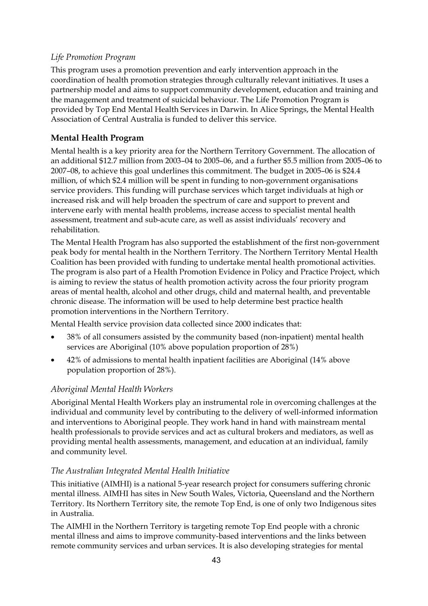# *Life Promotion Program*

This program uses a promotion prevention and early intervention approach in the coordination of health promotion strategies through culturally relevant initiatives. It uses a partnership model and aims to support community development, education and training and the management and treatment of suicidal behaviour. The Life Promotion Program is provided by Top End Mental Health Services in Darwin. In Alice Springs, the Mental Health Association of Central Australia is funded to deliver this service.

# **Mental Health Program**

Mental health is a key priority area for the Northern Territory Government. The allocation of an additional \$12.7 million from 2003–04 to 2005–06, and a further \$5.5 million from 2005–06 to 2007–08, to achieve this goal underlines this commitment. The budget in 2005–06 is \$24.4 million, of which \$2.4 million will be spent in funding to non-government organisations service providers. This funding will purchase services which target individuals at high or increased risk and will help broaden the spectrum of care and support to prevent and intervene early with mental health problems, increase access to specialist mental health assessment, treatment and sub-acute care, as well as assist individuals' recovery and rehabilitation.

The Mental Health Program has also supported the establishment of the first non-government peak body for mental health in the Northern Territory. The Northern Territory Mental Health Coalition has been provided with funding to undertake mental health promotional activities. The program is also part of a Health Promotion Evidence in Policy and Practice Project, which is aiming to review the status of health promotion activity across the four priority program areas of mental health, alcohol and other drugs, child and maternal health, and preventable chronic disease. The information will be used to help determine best practice health promotion interventions in the Northern Territory.

Mental Health service provision data collected since 2000 indicates that:

- 38% of all consumers assisted by the community based (non-inpatient) mental health services are Aboriginal (10% above population proportion of 28%)
- 42% of admissions to mental health inpatient facilities are Aboriginal (14% above population proportion of 28%).

# *Aboriginal Mental Health Workers*

Aboriginal Mental Health Workers play an instrumental role in overcoming challenges at the individual and community level by contributing to the delivery of well-informed information and interventions to Aboriginal people. They work hand in hand with mainstream mental health professionals to provide services and act as cultural brokers and mediators, as well as providing mental health assessments, management, and education at an individual, family and community level.

# *The Australian Integrated Mental Health Initiative*

This initiative (AIMHI) is a national 5-year research project for consumers suffering chronic mental illness. AIMHI has sites in New South Wales, Victoria, Queensland and the Northern Territory. Its Northern Territory site, the remote Top End, is one of only two Indigenous sites in Australia.

The AIMHI in the Northern Territory is targeting remote Top End people with a chronic mental illness and aims to improve community-based interventions and the links between remote community services and urban services. It is also developing strategies for mental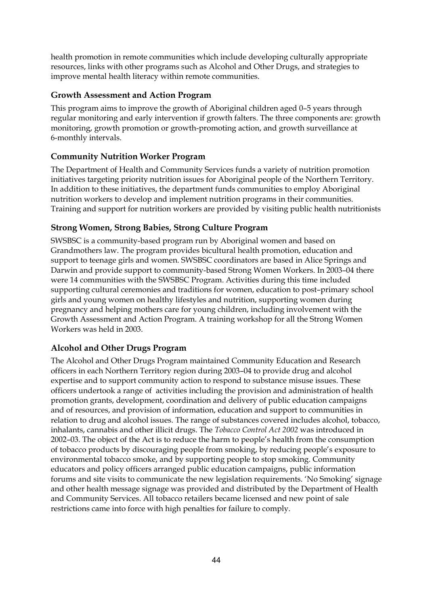health promotion in remote communities which include developing culturally appropriate resources, links with other programs such as Alcohol and Other Drugs, and strategies to improve mental health literacy within remote communities.

# **Growth Assessment and Action Program**

This program aims to improve the growth of Aboriginal children aged 0–5 years through regular monitoring and early intervention if growth falters. The three components are: growth monitoring, growth promotion or growth-promoting action, and growth surveillance at 6-monthly intervals.

# **Community Nutrition Worker Program**

The Department of Health and Community Services funds a variety of nutrition promotion initiatives targeting priority nutrition issues for Aboriginal people of the Northern Territory. In addition to these initiatives, the department funds communities to employ Aboriginal nutrition workers to develop and implement nutrition programs in their communities. Training and support for nutrition workers are provided by visiting public health nutritionists

# **Strong Women, Strong Babies, Strong Culture Program**

SWSBSC is a community-based program run by Aboriginal women and based on Grandmothers law. The program provides bicultural health promotion, education and support to teenage girls and women. SWSBSC coordinators are based in Alice Springs and Darwin and provide support to community-based Strong Women Workers. In 2003–04 there were 14 communities with the SWSBSC Program. Activities during this time included supporting cultural ceremonies and traditions for women, education to post–primary school girls and young women on healthy lifestyles and nutrition, supporting women during pregnancy and helping mothers care for young children, including involvement with the Growth Assessment and Action Program. A training workshop for all the Strong Women Workers was held in 2003.

# **Alcohol and Other Drugs Program**

The Alcohol and Other Drugs Program maintained Community Education and Research officers in each Northern Territory region during 2003–04 to provide drug and alcohol expertise and to support community action to respond to substance misuse issues. These officers undertook a range of activities including the provision and administration of health promotion grants, development, coordination and delivery of public education campaigns and of resources, and provision of information, education and support to communities in relation to drug and alcohol issues. The range of substances covered includes alcohol, tobacco, inhalants, cannabis and other illicit drugs. The *Tobacco Control Act 2002* was introduced in 2002–03. The object of the Act is to reduce the harm to people's health from the consumption of tobacco products by discouraging people from smoking, by reducing people's exposure to environmental tobacco smoke, and by supporting people to stop smoking. Community educators and policy officers arranged public education campaigns, public information forums and site visits to communicate the new legislation requirements. 'No Smoking' signage and other health message signage was provided and distributed by the Department of Health and Community Services. All tobacco retailers became licensed and new point of sale restrictions came into force with high penalties for failure to comply.